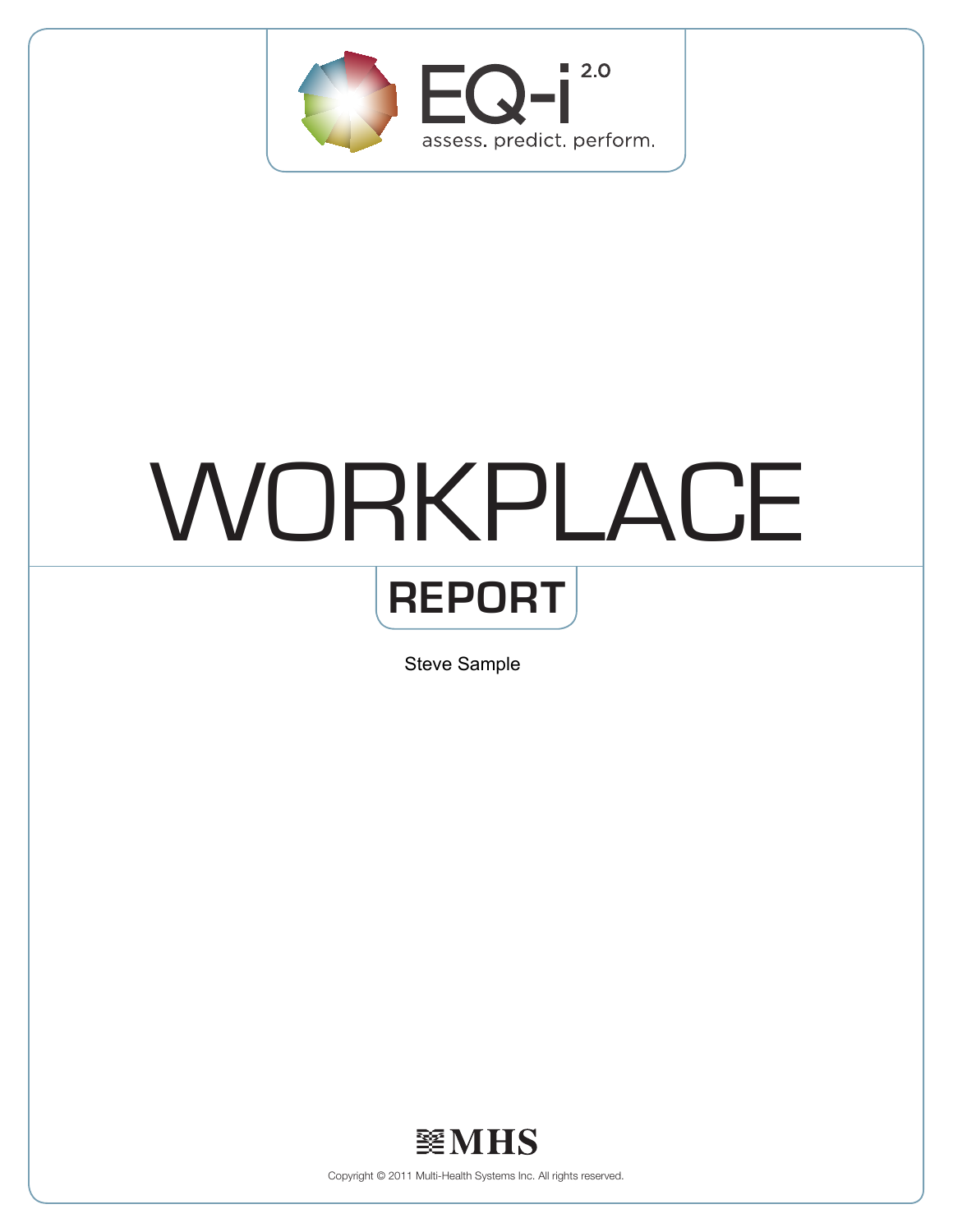

# **REPORT** WORKPLACE

Steve Sample



Copyright © 2011 Multi-Health Systems Inc. All rights reserved.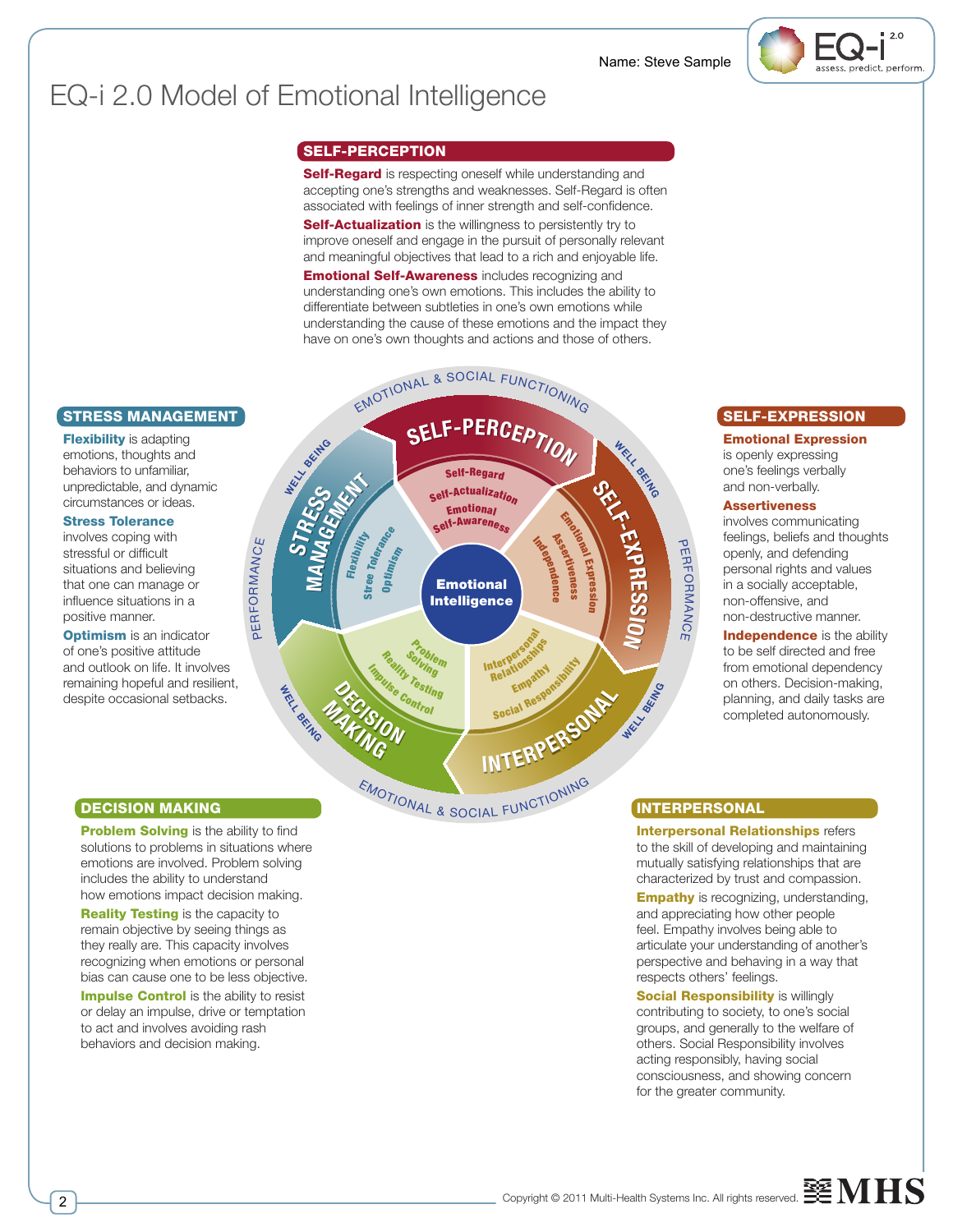

# EQ-i 2.0 Model of Emotional Intelligence

#### Self-Perception

Self-Regard is respecting oneself while understanding and accepting one's strengths and weaknesses. Self-Regard is often associated with feelings of inner strength and self-confidence. Self-Actualization is the willingness to persistently try to improve oneself and engage in the pursuit of personally relevant and meaningful objectives that lead to a rich and enjoyable life. **Emotional Self-Awareness** includes recognizing and understanding one's own emotions. This includes the ability to differentiate between subtleties in one's own emotions while understanding the cause of these emotions and the impact they have on one's own thoughts and actions and those of others.

#### **STRESS MANAGEMENT**

**Flexibility** is adapting emotions, thoughts and behaviors to unfamiliar, unpredictable, and dynamic circumstances or ideas.

#### Stress Tolerance

involves coping with stressful or difficult situations and believing that one can manage or influence situations in a positive manner.

**Optimism** is an indicator of one's positive attitude and outlook on life. It involves remaining hopeful and resilient, despite occasional setbacks.



#### SELF-EXPRESSION

Emotional Expression is openly expressing one's feelings verbally and non-verbally.

#### **Assertiveness**

involves communicating feelings, beliefs and thoughts openly, and defending personal rights and values in a socially acceptable, non-offensive, and non-destructive manner.

**Independence** is the ability to be self directed and free from emotional dependency on others. Decision-making, planning, and daily tasks are completed autonomously.

Interpersonal Relationships refers to the skill of developing and maintaining mutually satisfying relationships that are characterized by trust and compassion.

**Empathy** is recognizing, understanding, and appreciating how other people feel. Empathy involves being able to articulate your understanding of another's perspective and behaving in a way that respects others' feelings.

**Social Responsibility** is willingly contributing to society, to one's social groups, and generally to the welfare of others. Social Responsibility involves acting responsibly, having social consciousness, and showing concern for the greater community.

#### Decision Making

**Problem Solving** is the ability to find solutions to problems in situations where emotions are involved. Problem solving includes the ability to understand how emotions impact decision making. **Reality Testing** is the capacity to remain objective by seeing things as they really are. This capacity involves recognizing when emotions or personal bias can cause one to be less objective. **Impulse Control** is the ability to resist or delay an impulse, drive or temptation to act and involves avoiding rash behaviors and decision making.

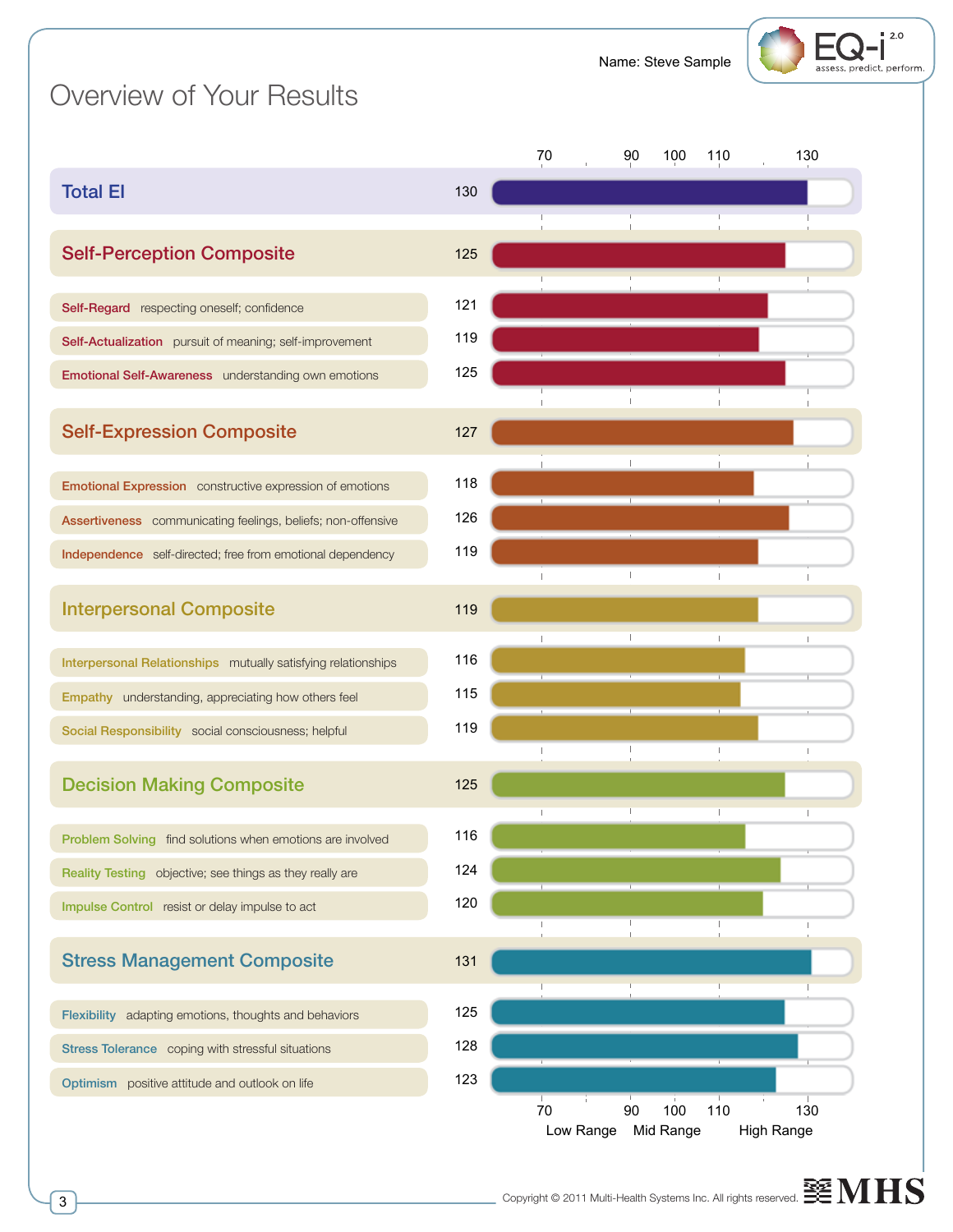Name: Steve Sample



# Overview of Your Results



Copyright © 2011 Multi-Health Systems Inc. All rights reserved.  $\mathbb{R}$   $\mathbb{M}$   $\mathbb{H}$  S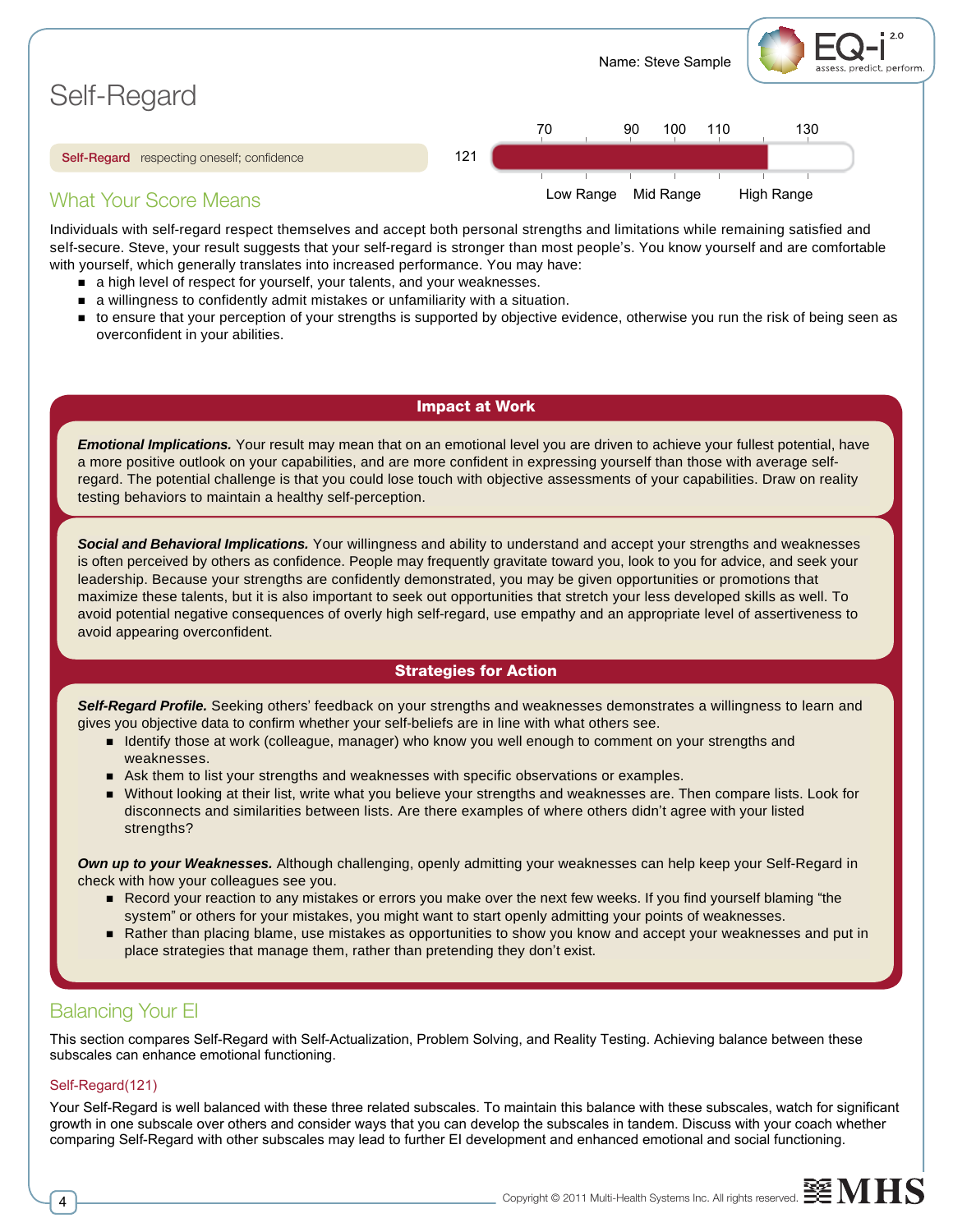

Individuals with self-regard respect themselves and accept both personal strengths and limitations while remaining satisfied and self-secure. Steve, your result suggests that your self-regard is stronger than most people's. You know yourself and are comfortable with yourself, which generally translates into increased performance. You may have:

- a high level of respect for yourself, your talents, and your weaknesses.
- n a willingness to confidently admit mistakes or unfamiliarity with a situation.
- n to ensure that your perception of your strengths is supported by objective evidence, otherwise you run the risk of being seen as overconfident in your abilities.

#### Impact at Work

*Emotional Implications.* Your result may mean that on an emotional level you are driven to achieve your fullest potential, have a more positive outlook on your capabilities, and are more confident in expressing yourself than those with average selfregard. The potential challenge is that you could lose touch with objective assessments of your capabilities. Draw on reality testing behaviors to maintain a healthy self-perception.

*Social and Behavioral Implications.* Your willingness and ability to understand and accept your strengths and weaknesses is often perceived by others as confidence. People may frequently gravitate toward you, look to you for advice, and seek your leadership. Because your strengths are confidently demonstrated, you may be given opportunities or promotions that maximize these talents, but it is also important to seek out opportunities that stretch your less developed skills as well. To avoid potential negative consequences of overly high self-regard, use empathy and an appropriate level of assertiveness to avoid appearing overconfident.

#### Strategies for Action

*Self-Regard Profile.* Seeking others' feedback on your strengths and weaknesses demonstrates a willingness to learn and gives you objective data to confirm whether your self-beliefs are in line with what others see.

- **n** Identify those at work (colleague, manager) who know you well enough to comment on your strengths and weaknesses.
- **n** Ask them to list your strengths and weaknesses with specific observations or examples.
- n Without looking at their list, write what you believe your strengths and weaknesses are. Then compare lists. Look for disconnects and similarities between lists. Are there examples of where others didn't agree with your listed strengths?

*Own up to your Weaknesses.* Although challenging, openly admitting your weaknesses can help keep your Self-Regard in check with how your colleagues see you.

- n Record your reaction to any mistakes or errors you make over the next few weeks. If you find yourself blaming "the system" or others for your mistakes, you might want to start openly admitting your points of weaknesses.
- n Rather than placing blame, use mistakes as opportunities to show you know and accept your weaknesses and put in place strategies that manage them, rather than pretending they don't exist.

### Balancing Your EI

This section compares Self-Regard with Self-Actualization, Problem Solving, and Reality Testing. Achieving balance between these subscales can enhance emotional functioning.

#### Self-Regard(121)

Your Self-Regard is well balanced with these three related subscales. To maintain this balance with these subscales, watch for significant growth in one subscale over others and consider ways that you can develop the subscales in tandem. Discuss with your coach whether comparing Self-Regard with other subscales may lead to further EI development and enhanced emotional and social functioning.

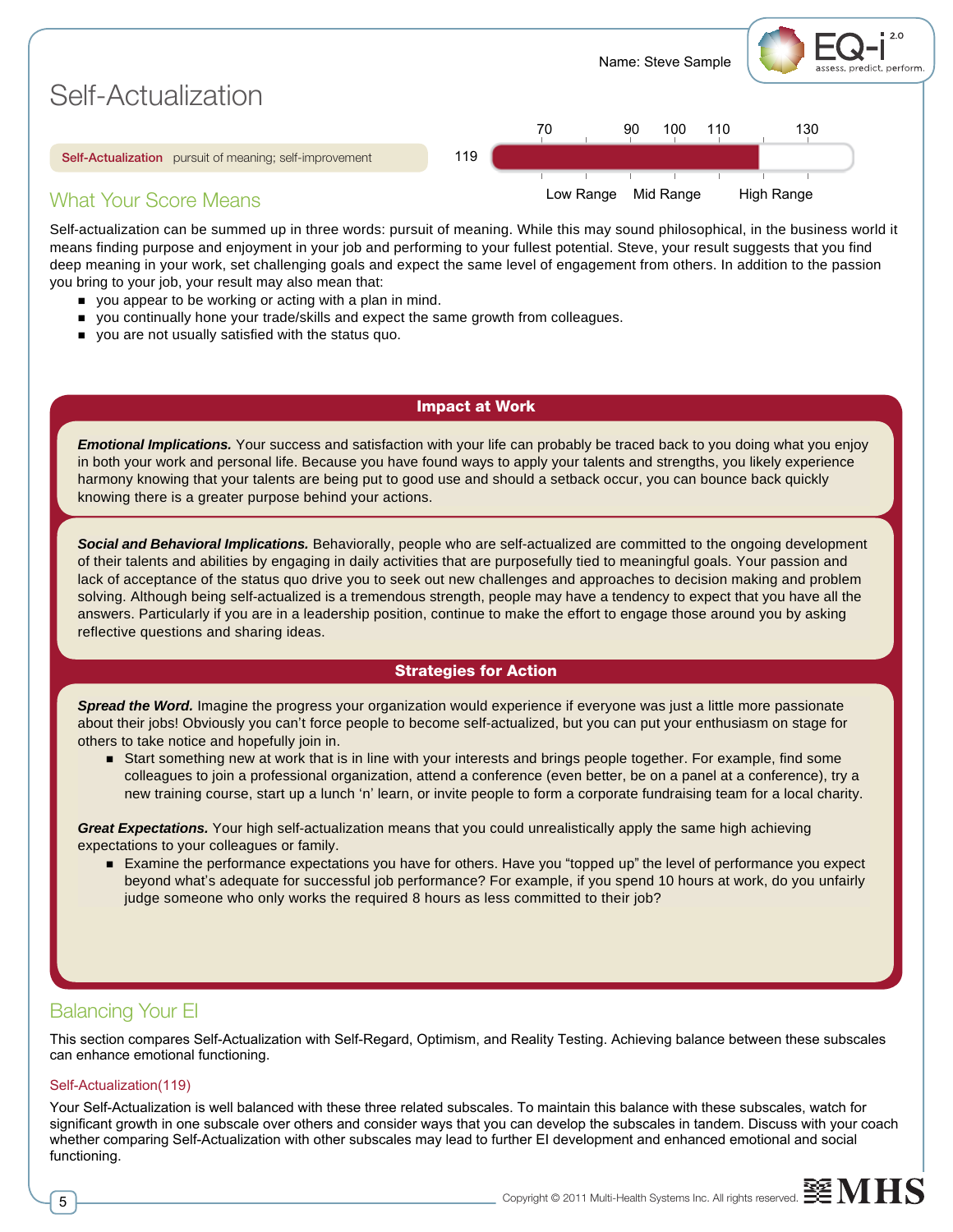

Self-actualization can be summed up in three words: pursuit of meaning. While this may sound philosophical, in the business world it means finding purpose and enjoyment in your job and performing to your fullest potential. Steve, your result suggests that you find deep meaning in your work, set challenging goals and expect the same level of engagement from others. In addition to the passion you bring to your job, your result may also mean that:

- **v** you appear to be working or acting with a plan in mind.
- n you continually hone your trade/skills and expect the same growth from colleagues.
- n you are not usually satisfied with the status quo.

#### Impact at Work

*Emotional Implications.* Your success and satisfaction with your life can probably be traced back to you doing what you enjoy in both your work and personal life. Because you have found ways to apply your talents and strengths, you likely experience harmony knowing that your talents are being put to good use and should a setback occur, you can bounce back quickly knowing there is a greater purpose behind your actions.

*Social and Behavioral Implications.* Behaviorally, people who are self-actualized are committed to the ongoing development of their talents and abilities by engaging in daily activities that are purposefully tied to meaningful goals. Your passion and lack of acceptance of the status quo drive you to seek out new challenges and approaches to decision making and problem solving. Although being self-actualized is a tremendous strength, people may have a tendency to expect that you have all the answers. Particularly if you are in a leadership position, continue to make the effort to engage those around you by asking reflective questions and sharing ideas.

#### Strategies for Action

*Spread the Word.* Imagine the progress your organization would experience if everyone was just a little more passionate about their jobs! Obviously you can't force people to become self-actualized, but you can put your enthusiasm on stage for others to take notice and hopefully join in.

**n** Start something new at work that is in line with your interests and brings people together. For example, find some colleagues to join a professional organization, attend a conference (even better, be on a panel at a conference), try a new training course, start up a lunch 'n' learn, or invite people to form a corporate fundraising team for a local charity.

*Great Expectations.* Your high self-actualization means that you could unrealistically apply the same high achieving expectations to your colleagues or family.

n Examine the performance expectations you have for others. Have you "topped up" the level of performance you expect beyond what's adequate for successful job performance? For example, if you spend 10 hours at work, do you unfairly judge someone who only works the required 8 hours as less committed to their job?

#### Balancing Your EI

This section compares Self-Actualization with Self-Regard, Optimism, and Reality Testing. Achieving balance between these subscales can enhance emotional functioning.

#### Self-Actualization(119)

Your Self-Actualization is well balanced with these three related subscales. To maintain this balance with these subscales, watch for significant growth in one subscale over others and consider ways that you can develop the subscales in tandem. Discuss with your coach whether comparing Self-Actualization with other subscales may lead to further EI development and enhanced emotional and social functioning.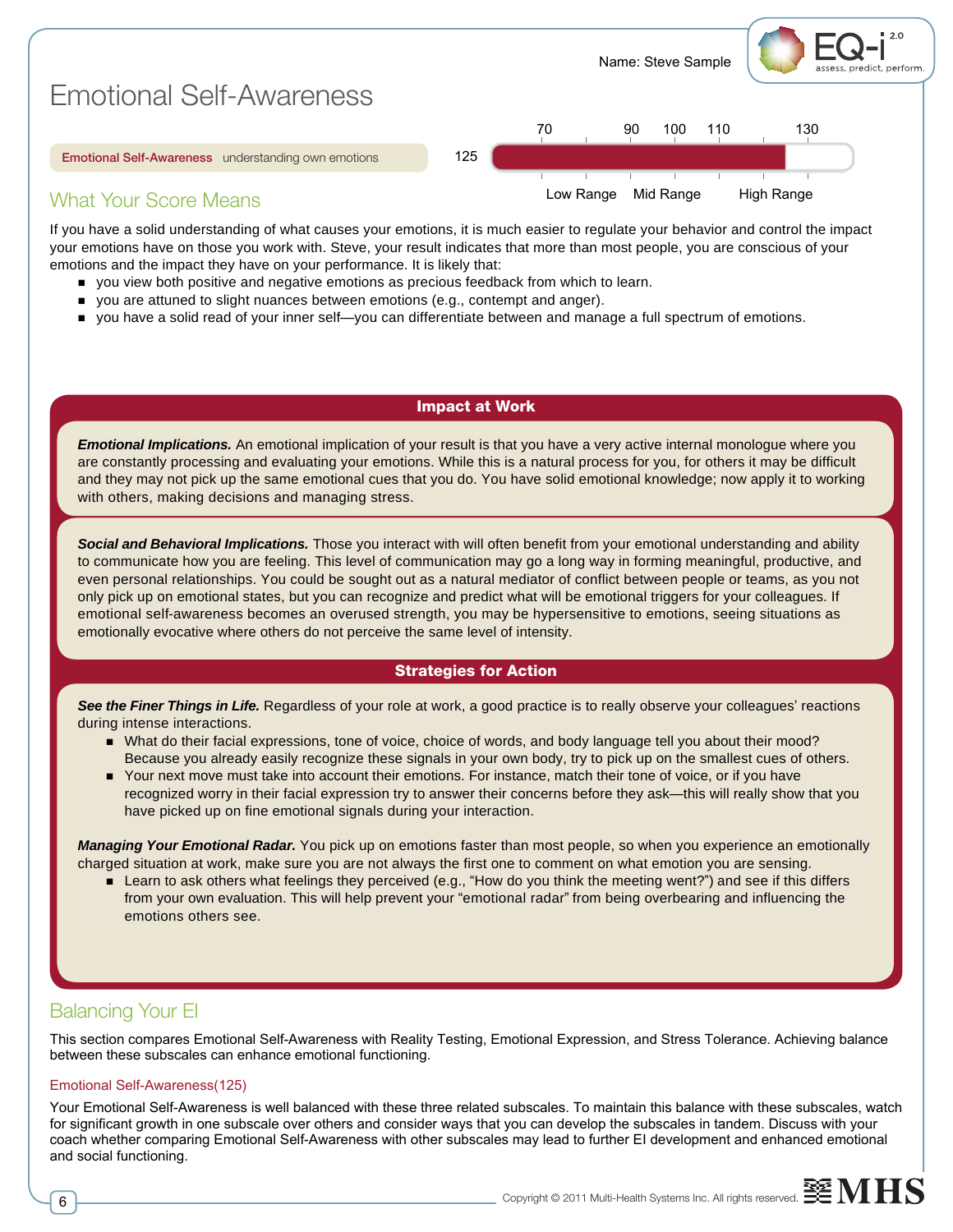

#### What Your Score Means

If you have a solid understanding of what causes your emotions, it is much easier to regulate your behavior and control the impact your emotions have on those you work with. Steve, your result indicates that more than most people, you are conscious of your emotions and the impact they have on your performance. It is likely that:

- n you view both positive and negative emotions as precious feedback from which to learn.
- n you are attuned to slight nuances between emotions (e.g., contempt and anger).
- n you have a solid read of your inner self—you can differentiate between and manage a full spectrum of emotions.

#### Impact at Work

*Emotional Implications.* An emotional implication of your result is that you have a very active internal monologue where you are constantly processing and evaluating your emotions. While this is a natural process for you, for others it may be difficult and they may not pick up the same emotional cues that you do. You have solid emotional knowledge; now apply it to working with others, making decisions and managing stress.

*Social and Behavioral Implications.* Those you interact with will often benefit from your emotional understanding and ability to communicate how you are feeling. This level of communication may go a long way in forming meaningful, productive, and even personal relationships. You could be sought out as a natural mediator of conflict between people or teams, as you not only pick up on emotional states, but you can recognize and predict what will be emotional triggers for your colleagues. If emotional self-awareness becomes an overused strength, you may be hypersensitive to emotions, seeing situations as emotionally evocative where others do not perceive the same level of intensity.

#### Strategies for Action

*See the Finer Things in Life.* Regardless of your role at work, a good practice is to really observe your colleagues' reactions during intense interactions.

- What do their facial expressions, tone of voice, choice of words, and body language tell you about their mood? Because you already easily recognize these signals in your own body, try to pick up on the smallest cues of others.
- n Your next move must take into account their emotions. For instance, match their tone of voice, or if you have recognized worry in their facial expression try to answer their concerns before they ask—this will really show that you have picked up on fine emotional signals during your interaction.

*Managing Your Emotional Radar.* You pick up on emotions faster than most people, so when you experience an emotionally charged situation at work, make sure you are not always the first one to comment on what emotion you are sensing.

■ Learn to ask others what feelings they perceived (e.g., "How do you think the meeting went?") and see if this differs from your own evaluation. This will help prevent your "emotional radar" from being overbearing and influencing the emotions others see.

### Balancing Your EI

This section compares Emotional Self-Awareness with Reality Testing, Emotional Expression, and Stress Tolerance. Achieving balance between these subscales can enhance emotional functioning.

#### Emotional Self-Awareness(125)

Your Emotional Self-Awareness is well balanced with these three related subscales. To maintain this balance with these subscales, watch for significant growth in one subscale over others and consider ways that you can develop the subscales in tandem. Discuss with your coach whether comparing Emotional SelfAwareness with other subscales may lead to further EI development and enhanced emotional and social functioning.

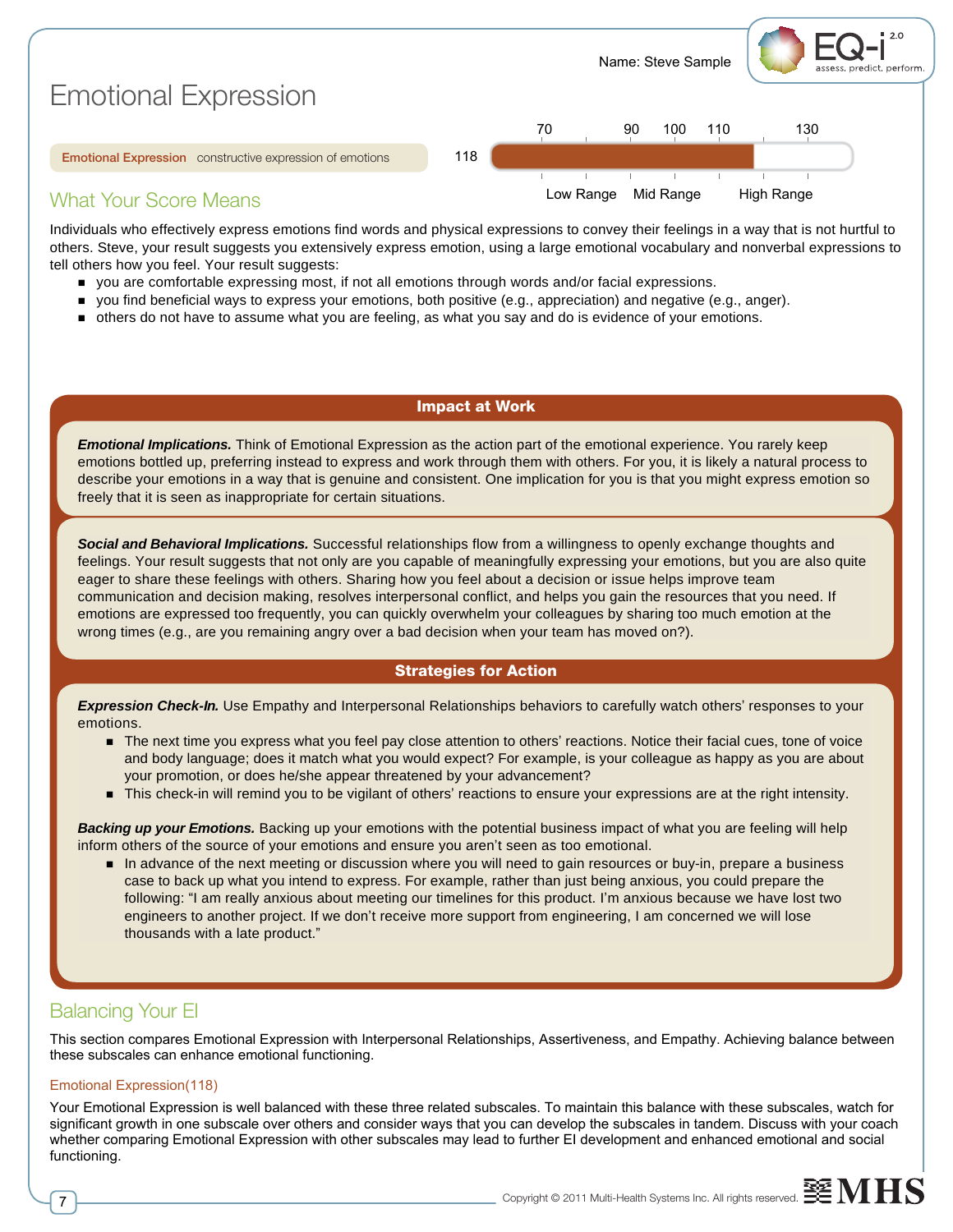| <b>Emotional Expression</b>                                     |     |           | Name: Steve Sample |           |     |            |     | assess. predict. perform. |  |
|-----------------------------------------------------------------|-----|-----------|--------------------|-----------|-----|------------|-----|---------------------------|--|
|                                                                 |     | 70        | 90                 | 100       | 110 |            | 130 |                           |  |
| <b>Emotional Expression</b> constructive expression of emotions | 118 |           |                    |           |     |            |     |                           |  |
| What Your Score Means                                           |     | Low Range |                    | Mid Range |     | High Range |     |                           |  |

# What Your Score Means

Individuals who effectively express emotions find words and physical expressions to convey their feelings in a way that is not hurtful to others. Steve, your result suggests you extensively express emotion, using a large emotional vocabulary and nonverbal expressions to tell others how you feel. Your result suggests:

- n you are comfortable expressing most, if not all emotions through words and/or facial expressions.
- n you find beneficial ways to express your emotions, both positive (e.g., appreciation) and negative (e.g., anger).
- others do not have to assume what you are feeling, as what you say and do is evidence of your emotions.

#### Impact at Work

*Emotional Implications.* Think of Emotional Expression as the action part of the emotional experience. You rarely keep emotions bottled up, preferring instead to express and work through them with others. For you, it is likely a natural process to describe your emotions in a way that is genuine and consistent. One implication for you is that you might express emotion so freely that it is seen as inappropriate for certain situations.

*Social and Behavioral Implications.* Successful relationships flow from a willingness to openly exchange thoughts and feelings. Your result suggests that not only are you capable of meaningfully expressing your emotions, but you are also quite eager to share these feelings with others. Sharing how you feel about a decision or issue helps improve team communication and decision making, resolves interpersonal conflict, and helps you gain the resources that you need. If emotions are expressed too frequently, you can quickly overwhelm your colleagues by sharing too much emotion at the wrong times (e.g., are you remaining angry over a bad decision when your team has moved on?).

#### Strategies for Action

*Expression Check-In.* Use Empathy and Interpersonal Relationships behaviors to carefully watch others' responses to your emotions.

- n The next time you express what you feel pay close attention to others' reactions. Notice their facial cues, tone of voice and body language; does it match what you would expect? For example, is your colleague as happy as you are about your promotion, or does he/she appear threatened by your advancement?
- This check-in will remind you to be vigilant of others' reactions to ensure your expressions are at the right intensity.

*Backing up your Emotions.* Backing up your emotions with the potential business impact of what you are feeling will help inform others of the source of your emotions and ensure you aren't seen as too emotional.

n In advance of the next meeting or discussion where you will need to gain resources or buy-in, prepare a business case to back up what you intend to express. For example, rather than just being anxious, you could prepare the following: "I am really anxious about meeting our timelines for this product. I'm anxious because we have lost two engineers to another project. If we don't receive more support from engineering, I am concerned we will lose thousands with a late product."

### Balancing Your EI

This section compares Emotional Expression with Interpersonal Relationships, Assertiveness, and Empathy. Achieving balance between these subscales can enhance emotional functioning.

#### Emotional Expression(118)

Your Emotional Expression is well balanced with these three related subscales. To maintain this balance with these subscales, watch for significant growth in one subscale over others and consider ways that you can develop the subscales in tandem. Discuss with your coach whether comparing Emotional Expression with other subscales may lead to further EI development and enhanced emotional and social functioning.

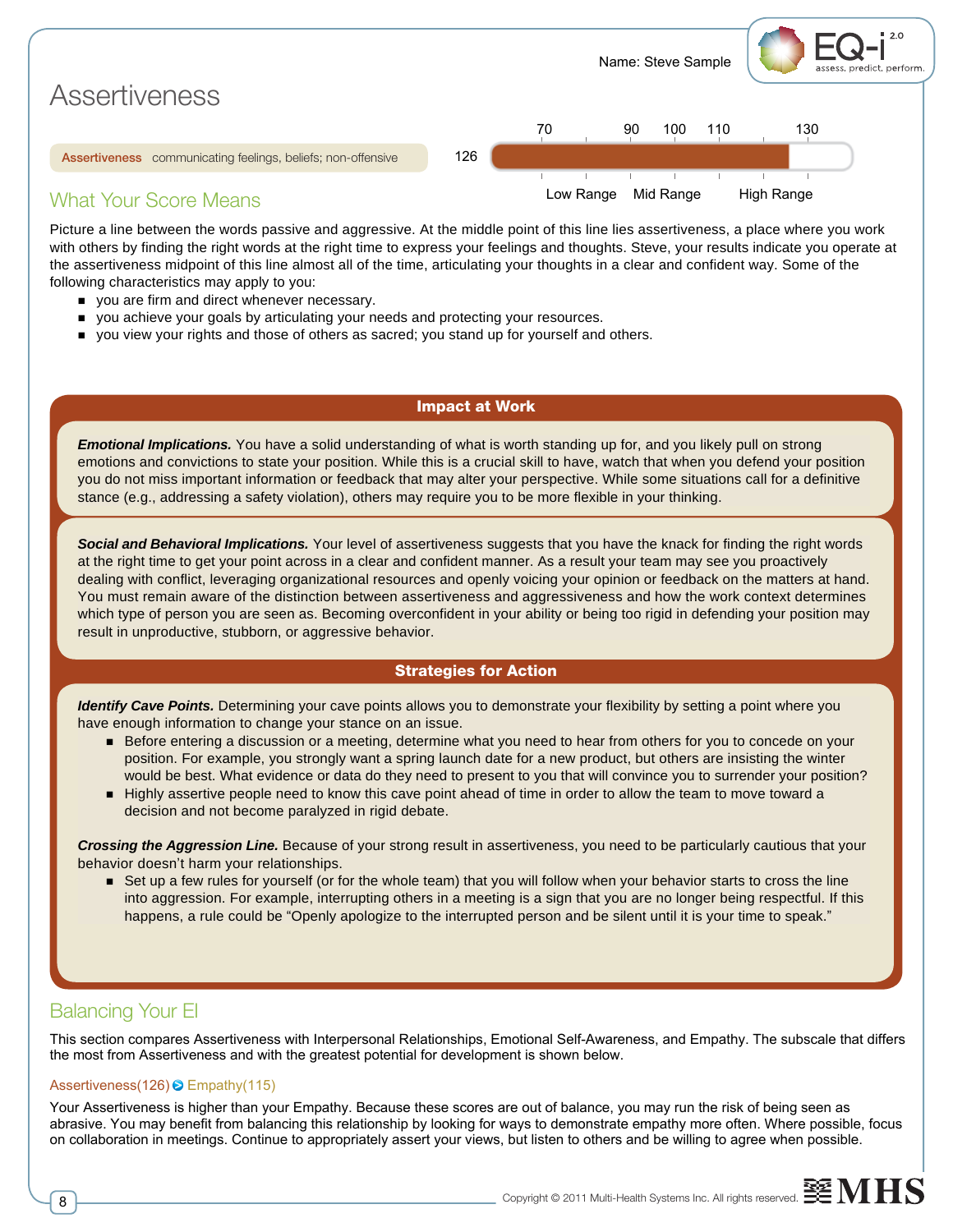| <b>Assertiveness</b>                                         |     | Name: Steve Sample<br>assess. predict. perform. |
|--------------------------------------------------------------|-----|-------------------------------------------------|
|                                                              |     | 90<br>130<br>70<br>100<br>110                   |
| Assertiveness communicating feelings, beliefs; non-offensive | 126 |                                                 |
| <b>What Your Score Means</b>                                 |     | High Range<br>Mid Range<br>Low Range            |

Picture a line between the words passive and aggressive. At the middle point of this line lies assertiveness, a place where you work with others by finding the right words at the right time to express your feelings and thoughts. Steve, your results indicate you operate at the assertiveness midpoint of this line almost all of the time, articulating your thoughts in a clear and confident way. Some of the following characteristics may apply to you:

- **v** you are firm and direct whenever necessary.
- n you achieve your goals by articulating your needs and protecting your resources.
- n you view your rights and those of others as sacred; you stand up for yourself and others.

#### Impact at Work

*Emotional Implications.* You have a solid understanding of what is worth standing up for, and you likely pull on strong emotions and convictions to state your position. While this is a crucial skill to have, watch that when you defend your position you do not miss important information or feedback that may alter your perspective. While some situations call for a definitive stance (e.g., addressing a safety violation), others may require you to be more flexible in your thinking.

*Social and Behavioral Implications.* Your level of assertiveness suggests that you have the knack for finding the right words at the right time to get your point across in a clear and confident manner. As a result your team may see you proactively dealing with conflict, leveraging organizational resources and openly voicing your opinion or feedback on the matters at hand. You must remain aware of the distinction between assertiveness and aggressiveness and how the work context determines which type of person you are seen as. Becoming overconfident in your ability or being too rigid in defending your position may result in unproductive, stubborn, or aggressive behavior.

#### Strategies for Action

*Identify Cave Points.* Determining your cave points allows you to demonstrate your flexibility by setting a point where you have enough information to change your stance on an issue.

- n Before entering a discussion or a meeting, determine what you need to hear from others for you to concede on your position. For example, you strongly want a spring launch date for a new product, but others are insisting the winter would be best. What evidence or data do they need to present to you that will convince you to surrender your position?
- n Highly assertive people need to know this cave point ahead of time in order to allow the team to move toward a decision and not become paralyzed in rigid debate.

*Crossing the Aggression Line.* Because of your strong result in assertiveness, you need to be particularly cautious that your behavior doesn't harm your relationships.

■ Set up a few rules for yourself (or for the whole team) that you will follow when your behavior starts to cross the line into aggression. For example, interrupting others in a meeting is a sign that you are no longer being respectful. If this happens, a rule could be "Openly apologize to the interrupted person and be silent until it is your time to speak."

#### Balancing Your EI

This section compares Assertiveness with Interpersonal Relationships, Emotional Self-Awareness, and Empathy. The subscale that differs the most from Assertiveness and with the greatest potential for development is shown below.

#### Assertiveness(126) <sup>●</sup> Empathy(115)

Your Assertiveness is higher than your Empathy. Because these scores are out of balance, you may run the risk of being seen as abrasive. You may benefit from balancing this relationship by looking for ways to demonstrate empathy more often. Where possible, focus on collaboration in meetings. Continue to appropriately assert your views, but listen to others and be willing to agree when possible.

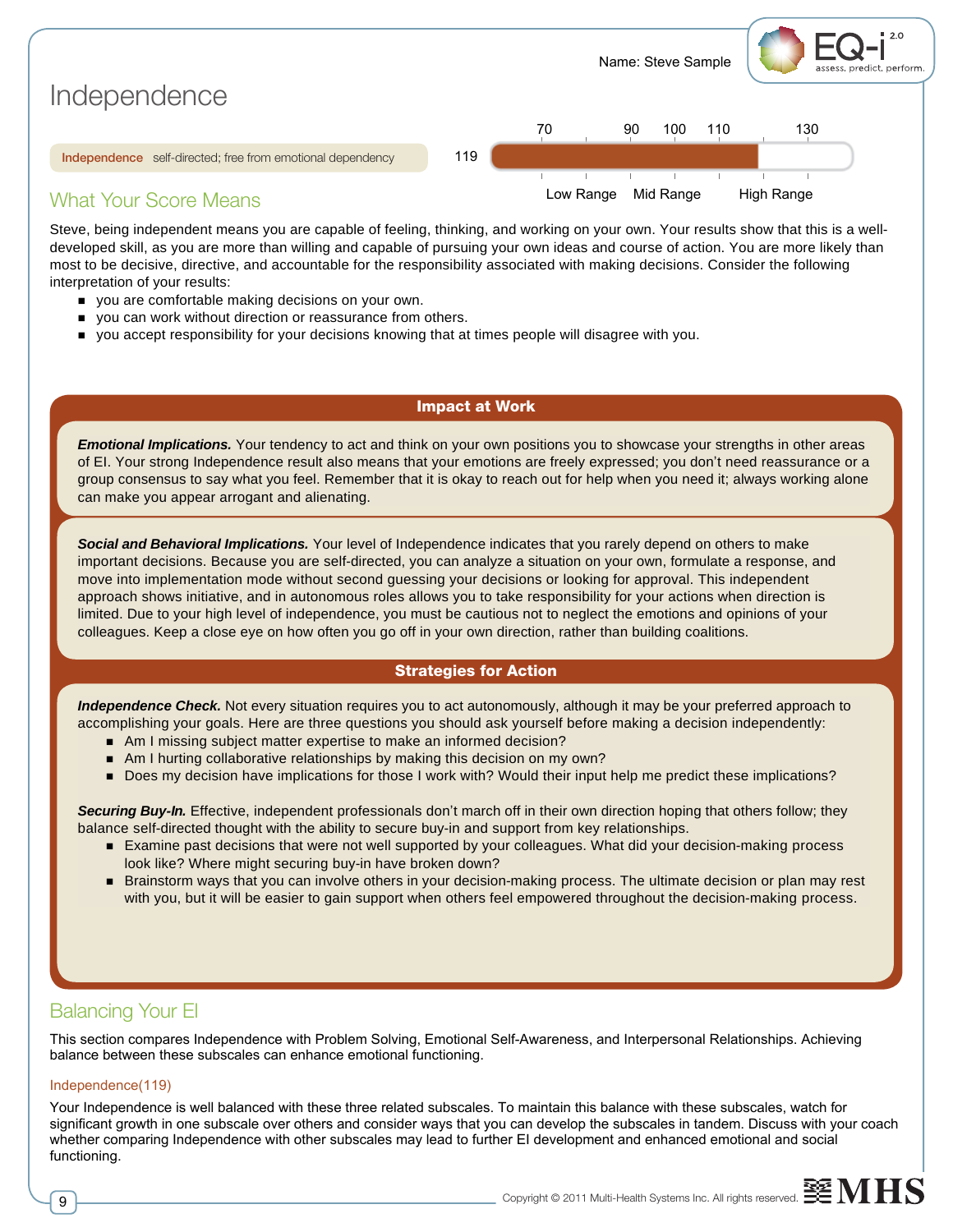

Steve, being independent means you are capable of feeling, thinking, and working on your own. Your results show that this is a welldeveloped skill, as you are more than willing and capable of pursuing your own ideas and course of action. You are more likely than most to be decisive, directive, and accountable for the responsibility associated with making decisions. Consider the following interpretation of your results:

- vou are comfortable making decisions on your own.
- you can work without direction or reassurance from others.
- n you accept responsibility for your decisions knowing that at times people will disagree with you.

#### Impact at Work

*Emotional Implications.* Your tendency to act and think on your own positions you to showcase your strengths in other areas of EI. Your strong Independence result also means that your emotions are freely expressed; you don't need reassurance or a group consensus to say what you feel. Remember that it is okay to reach out for help when you need it; always working alone can make you appear arrogant and alienating.

*Social and Behavioral Implications.* Your level of Independence indicates that you rarely depend on others to make important decisions. Because you are self-directed, you can analyze a situation on your own, formulate a response, and move into implementation mode without second guessing your decisions or looking for approval. This independent approach shows initiative, and in autonomous roles allows you to take responsibility for your actions when direction is limited. Due to your high level of independence, you must be cautious not to neglect the emotions and opinions of your colleagues. Keep a close eye on how often you go off in your own direction, rather than building coalitions.

#### Strategies for Action

*Independence Check.* Not every situation requires you to act autonomously, although it may be your preferred approach to accomplishing your goals. Here are three questions you should ask yourself before making a decision independently:

- Am I missing subject matter expertise to make an informed decision?
- n Am I hurting collaborative relationships by making this decision on my own?
- Does my decision have implications for those I work with? Would their input help me predict these implications?

*Securing Buy-In.* Effective, independent professionals don't march off in their own direction hoping that others follow; they balance self-directed thought with the ability to secure buy-in and support from key relationships.

- n Examine past decisions that were not well supported by your colleagues. What did your decision-making process look like? Where might securing buy-in have broken down?
- n Brainstorm ways that you can involve others in your decision-making process. The ultimate decision or plan may rest with you, but it will be easier to gain support when others feel empowered throughout the decision-making process.

### Balancing Your EI

This section compares Independence with Problem Solving, Emotional Self-Awareness, and Interpersonal Relationships. Achieving balance between these subscales can enhance emotional functioning.

#### Independence(119)

Your Independence is well balanced with these three related subscales. To maintain this balance with these subscales, watch for significant growth in one subscale over others and consider ways that you can develop the subscales in tandem. Discuss with your coach whether comparing Independence with other subscales may lead to further EI development and enhanced emotional and social functioning.

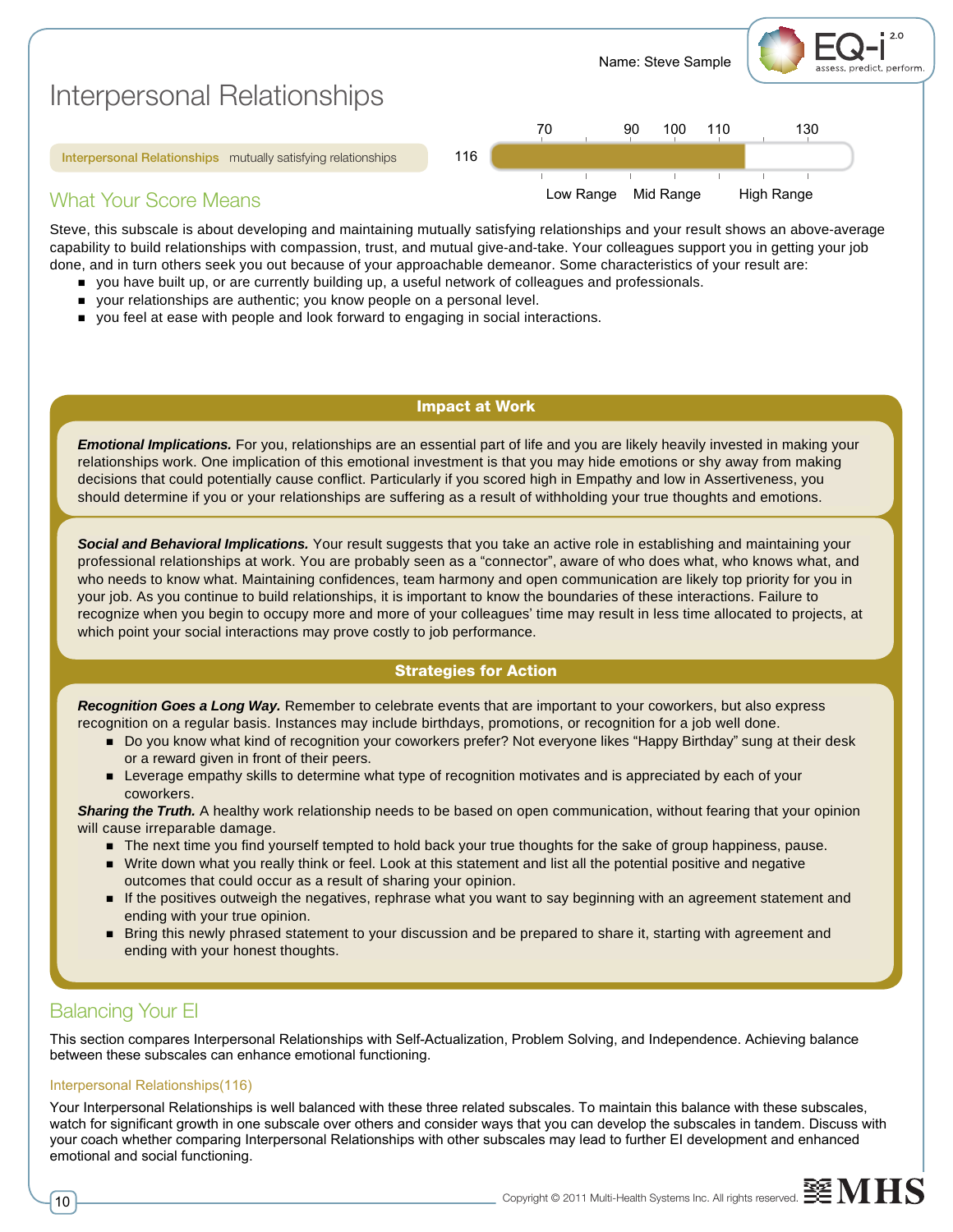

Steve, this subscale is about developing and maintaining mutually satisfying relationships and your result shows an above-average capability to build relationships with compassion, trust, and mutual give-and-take. Your colleagues support you in getting your job done, and in turn others seek you out because of your approachable demeanor. Some characteristics of your result are:

- n you have built up, or are currently building up, a useful network of colleagues and professionals.
- your relationships are authentic; you know people on a personal level.
- n you feel at ease with people and look forward to engaging in social interactions.

#### Impact at Work

*Emotional Implications.* For you, relationships are an essential part of life and you are likely heavily invested in making your relationships work. One implication of this emotional investment is that you may hide emotions or shy away from making decisions that could potentially cause conflict. Particularly if you scored high in Empathy and low in Assertiveness, you should determine if you or your relationships are suffering as a result of withholding your true thoughts and emotions.

*Social and Behavioral Implications.* Your result suggests that you take an active role in establishing and maintaining your professional relationships at work. You are probably seen as a "connector", aware of who does what, who knows what, and who needs to know what. Maintaining confidences, team harmony and open communication are likely top priority for you in your job. As you continue to build relationships, it is important to know the boundaries of these interactions. Failure to recognize when you begin to occupy more and more of your colleagues' time may result in less time allocated to projects, at which point your social interactions may prove costly to job performance.

#### Strategies for Action

*Recognition Goes a Long Way.* Remember to celebrate events that are important to your coworkers, but also express recognition on a regular basis. Instances may include birthdays, promotions, or recognition for a job well done.

- n Do you know what kind of recognition your coworkers prefer? Not everyone likes "Happy Birthday" sung at their desk or a reward given in front of their peers.
- **EXECTED EXECTED EXECTED EXECTED** Every and is appreciated by each of your coworkers.

**Sharing the Truth.** A healthy work relationship needs to be based on open communication, without fearing that your opinion will cause irreparable damage.

- The next time you find yourself tempted to hold back your true thoughts for the sake of group happiness, pause.
- n Write down what you really think or feel. Look at this statement and list all the potential positive and negative outcomes that could occur as a result of sharing your opinion.
- n If the positives outweigh the negatives, rephrase what you want to say beginning with an agreement statement and ending with your true opinion.
- **n** Bring this newly phrased statement to your discussion and be prepared to share it, starting with agreement and ending with your honest thoughts.

## Balancing Your EI

This section compares Interpersonal Relationships with Self-Actualization, Problem Solving, and Independence. Achieving balance between these subscales can enhance emotional functioning.

#### Interpersonal Relationships(116)

Your Interpersonal Relationships is well balanced with these three related subscales. To maintain this balance with these subscales, watch for significant growth in one subscale over others and consider ways that you can develop the subscales in tandem. Discuss with your coach whether comparing Interpersonal Relationships with other subscales may lead to further EI development and enhanced emotional and social functioning.

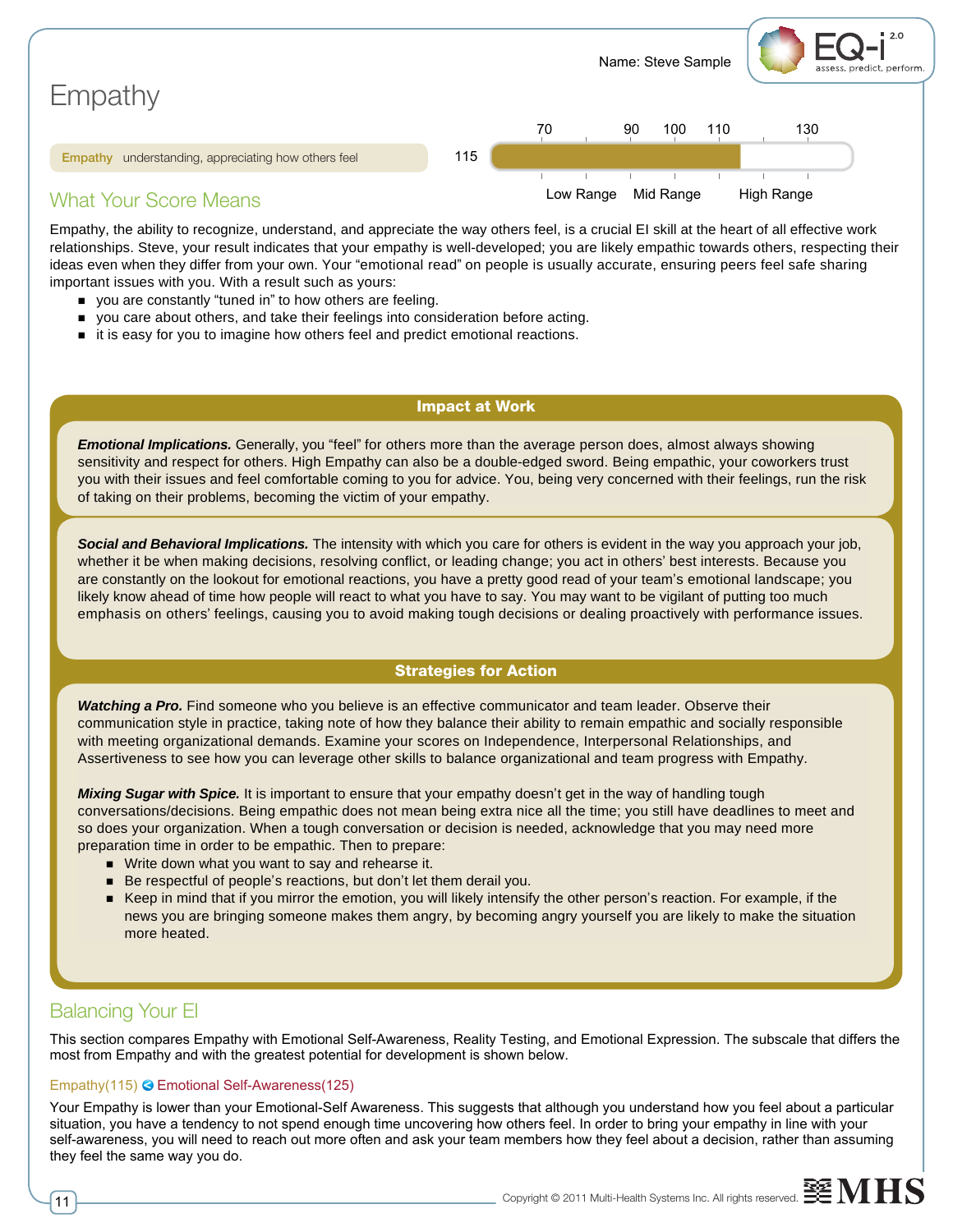

Empathy, the ability to recognize, understand, and appreciate the way others feel, is a crucial EI skill at the heart of all effective work relationships. Steve, your result indicates that your empathy is well-developed; you are likely empathic towards others, respecting their ideas even when they differ from your own. Your "emotional read" on people is usually accurate, ensuring peers feel safe sharing important issues with you. With a result such as yours:

- you are constantly "tuned in" to how others are feeling.
- n you care about others, and take their feelings into consideration before acting.
- it is easy for you to imagine how others feel and predict emotional reactions.

#### Impact at Work

*Emotional Implications.* Generally, you "feel" for others more than the average person does, almost always showing sensitivity and respect for others. High Empathy can also be a double-edged sword. Being empathic, your coworkers trust you with their issues and feel comfortable coming to you for advice. You, being very concerned with their feelings, run the risk of taking on their problems, becoming the victim of your empathy.

*Social and Behavioral Implications.* The intensity with which you care for others is evident in the way you approach your job, whether it be when making decisions, resolving conflict, or leading change; you act in others' best interests. Because you are constantly on the lookout for emotional reactions, you have a pretty good read of your team's emotional landscape; you likely know ahead of time how people will react to what you have to say. You may want to be vigilant of putting too much emphasis on others' feelings, causing you to avoid making tough decisions or dealing proactively with performance issues.

#### Strategies for Action

*Watching a Pro.* Find someone who you believe is an effective communicator and team leader. Observe their communication style in practice, taking note of how they balance their ability to remain empathic and socially responsible with meeting organizational demands. Examine your scores on Independence, Interpersonal Relationships, and Assertiveness to see how you can leverage other skills to balance organizational and team progress with Empathy.

*Mixing Sugar with Spice.* It is important to ensure that your empathy doesn't get in the way of handling tough conversations/decisions. Being empathic does not mean being extra nice all the time; you still have deadlines to meet and so does your organization. When a tough conversation or decision is needed, acknowledge that you may need more preparation time in order to be empathic. Then to prepare:

- $\blacksquare$  Write down what you want to say and rehearse it.
- Be respectful of people's reactions, but don't let them derail you.
- n Keep in mind that if you mirror the emotion, you will likely intensify the other person's reaction. For example, if the news you are bringing someone makes them angry, by becoming angry yourself you are likely to make the situation more heated.

### Balancing Your EI

This section compares Empathy with Emotional SelfAwareness, Reality Testing, and Emotional Expression. The subscale that differs the most from Empathy and with the greatest potential for development is shown below.

#### Empathy(115) **& Emotional Self-Awareness(125)**

Your Empathy is lower than your Emotional-Self Awareness. This suggests that although you understand how you feel about a particular situation, you have a tendency to not spend enough time uncovering how others feel. In order to bring your empathy in line with your self-awareness, you will need to reach out more often and ask your team members how they feel about a decision, rather than assuming they feel the same way you do.

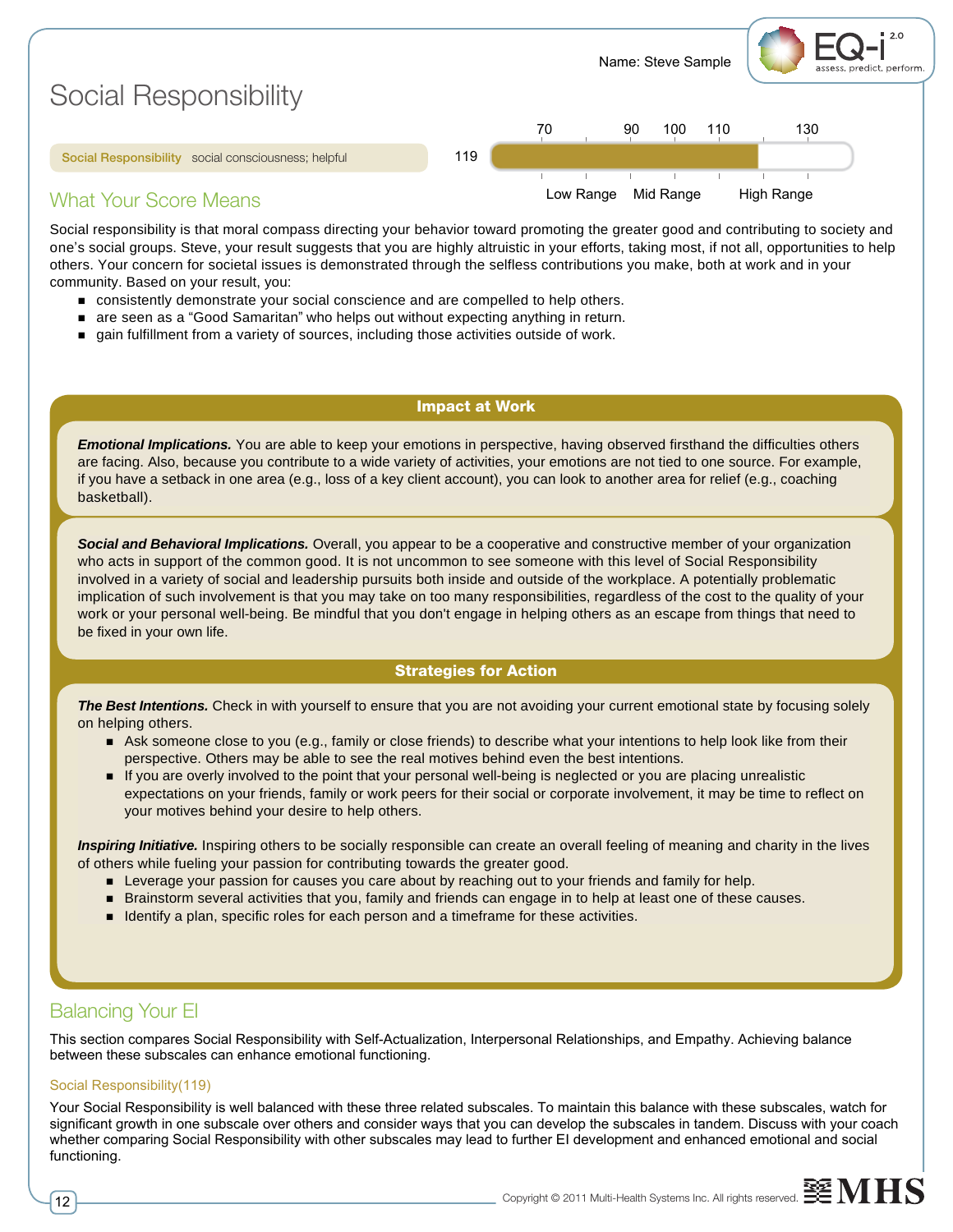

#### Social responsibility is that moral compass directing your behavior toward promoting the greater good and contributing to society and one's social groups. Steve, your result suggests that you are highly altruistic in your efforts, taking most, if not all, opportunities to help others. Your concern for societal issues is demonstrated through the selfless contributions you make, both at work and in your community. Based on your result, you:

- n consistently demonstrate your social conscience and are compelled to help others.
- n are seen as a "Good Samaritan" who helps out without expecting anything in return.
- n gain fulfillment from a variety of sources, including those activities outside of work.

#### Impact at Work

*Emotional Implications.* You are able to keep your emotions in perspective, having observed firsthand the difficulties others are facing. Also, because you contribute to a wide variety of activities, your emotions are not tied to one source. For example, if you have a setback in one area (e.g., loss of a key client account), you can look to another area for relief (e.g., coaching basketball).

*Social and Behavioral Implications.* Overall, you appear to be a cooperative and constructive member of your organization who acts in support of the common good. It is not uncommon to see someone with this level of Social Responsibility involved in a variety of social and leadership pursuits both inside and outside of the workplace. A potentially problematic implication of such involvement is that you may take on too many responsibilities, regardless of the cost to the quality of your work or your personal well-being. Be mindful that you don't engage in helping others as an escape from things that need to be fixed in your own life.

#### Strategies for Action

**The Best Intentions.** Check in with yourself to ensure that you are not avoiding your current emotional state by focusing solely on helping others.

- n Ask someone close to you (e.g., family or close friends) to describe what your intentions to help look like from their perspective. Others may be able to see the real motives behind even the best intentions.
- n If you are overly involved to the point that your personal well-being is neglected or you are placing unrealistic expectations on your friends, family or work peers for their social or corporate involvement, it may be time to reflect on your motives behind your desire to help others.

*Inspiring Initiative.* Inspiring others to be socially responsible can create an overall feeling of meaning and charity in the lives of others while fueling your passion for contributing towards the greater good.

- **Example your passion for causes you care about by reaching out to your friends and family for help.**
- n Brainstorm several activities that you, family and friends can engage in to help at least one of these causes.
- n Identify a plan, specific roles for each person and a timeframe for these activities.

#### Balancing Your EI

This section compares Social Responsibility with Self-Actualization, Interpersonal Relationships, and Empathy. Achieving balance between these subscales can enhance emotional functioning.

#### Social Responsibility(119)

Your Social Responsibility is well balanced with these three related subscales. To maintain this balance with these subscales, watch for significant growth in one subscale over others and consider ways that you can develop the subscales in tandem. Discuss with your coach whether comparing Social Responsibility with other subscales may lead to further EI development and enhanced emotional and social functioning.

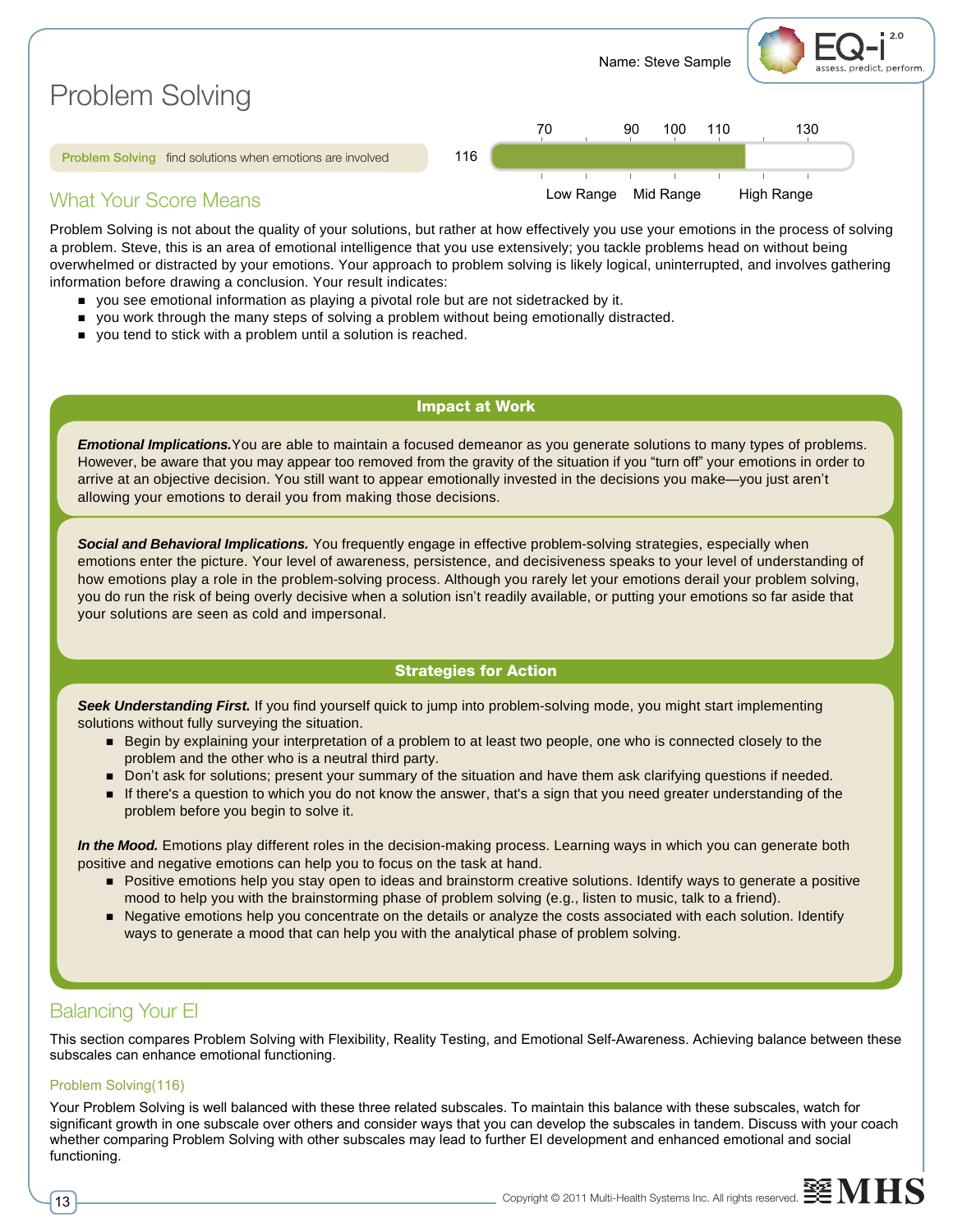| <b>Problem Solving</b>                                    |     | Name: Steve Sample<br>assess. predict. perform. |
|-----------------------------------------------------------|-----|-------------------------------------------------|
|                                                           |     | 90<br>70<br>130<br>100<br>110                   |
| Problem Solving find solutions when emotions are involved | 116 |                                                 |
| <b>What Your Score Means</b>                              |     | Mid Range<br>High Range<br>Low Range            |

#### Problem Solving is not about the quality of your solutions, but rather at how effectively you use your emotions in the process of solving a problem. Steve, this is an area of emotional intelligence that you use extensively; you tackle problems head on without being overwhelmed or distracted by your emotions. Your approach to problem solving is likely logical, uninterrupted, and involves gathering

information before drawing a conclusion. Your result indicates:

- n you see emotional information as playing a pivotal role but are not sidetracked by it.
- **vou work through the many steps of solving a problem without being emotionally distracted.**
- n you tend to stick with a problem until a solution is reached.

#### Impact at Work

*Emotional Implications.*You are able to maintain a focused demeanor as you generate solutions to many types of problems. However, be aware that you may appear too removed from the gravity of the situation if you "turn off" your emotions in order to arrive at an objective decision. You still want to appear emotionally invested in the decisions you make—you just aren't allowing your emotions to derail you from making those decisions.

*Social and Behavioral Implications.* You frequently engage in effective problem-solving strategies, especially when emotions enter the picture. Your level of awareness, persistence, and decisiveness speaks to your level of understanding of how emotions play a role in the problem-solving process. Although you rarely let your emotions derail your problem solving, you do run the risk of being overly decisive when a solution isn't readily available, or putting your emotions so far aside that your solutions are seen as cold and impersonal.

#### Strategies for Action

*Seek Understanding First.* If you find yourself quick to jump into problem-solving mode, you might start implementing solutions without fully surveying the situation.

- n Begin by explaining your interpretation of a problem to at least two people, one who is connected closely to the problem and the other who is a neutral third party.
- Don't ask for solutions; present your summary of the situation and have them ask clarifying questions if needed.
- n If there's a question to which you do not know the answer, that's a sign that you need greater understanding of the problem before you begin to solve it.

*In the Mood.* Emotions play different roles in the decision-making process. Learning ways in which you can generate both positive and negative emotions can help you to focus on the task at hand.

- n Positive emotions help you stay open to ideas and brainstorm creative solutions. Identify ways to generate a positive mood to help you with the brainstorming phase of problem solving (e.g., listen to music, talk to a friend).
- n Negative emotions help you concentrate on the details or analyze the costs associated with each solution. Identify ways to generate a mood that can help you with the analytical phase of problem solving.

#### Balancing Your EI

This section compares Problem Solving with Flexibility, Reality Testing, and Emotional Self-Awareness. Achieving balance between these subscales can enhance emotional functioning.

#### Problem Solving(116)

Your Problem Solving is well balanced with these three related subscales. To maintain this balance with these subscales, watch for significant growth in one subscale over others and consider ways that you can develop the subscales in tandem. Discuss with your coach whether comparing Problem Solving with other subscales may lead to further EI development and enhanced emotional and social functioning.

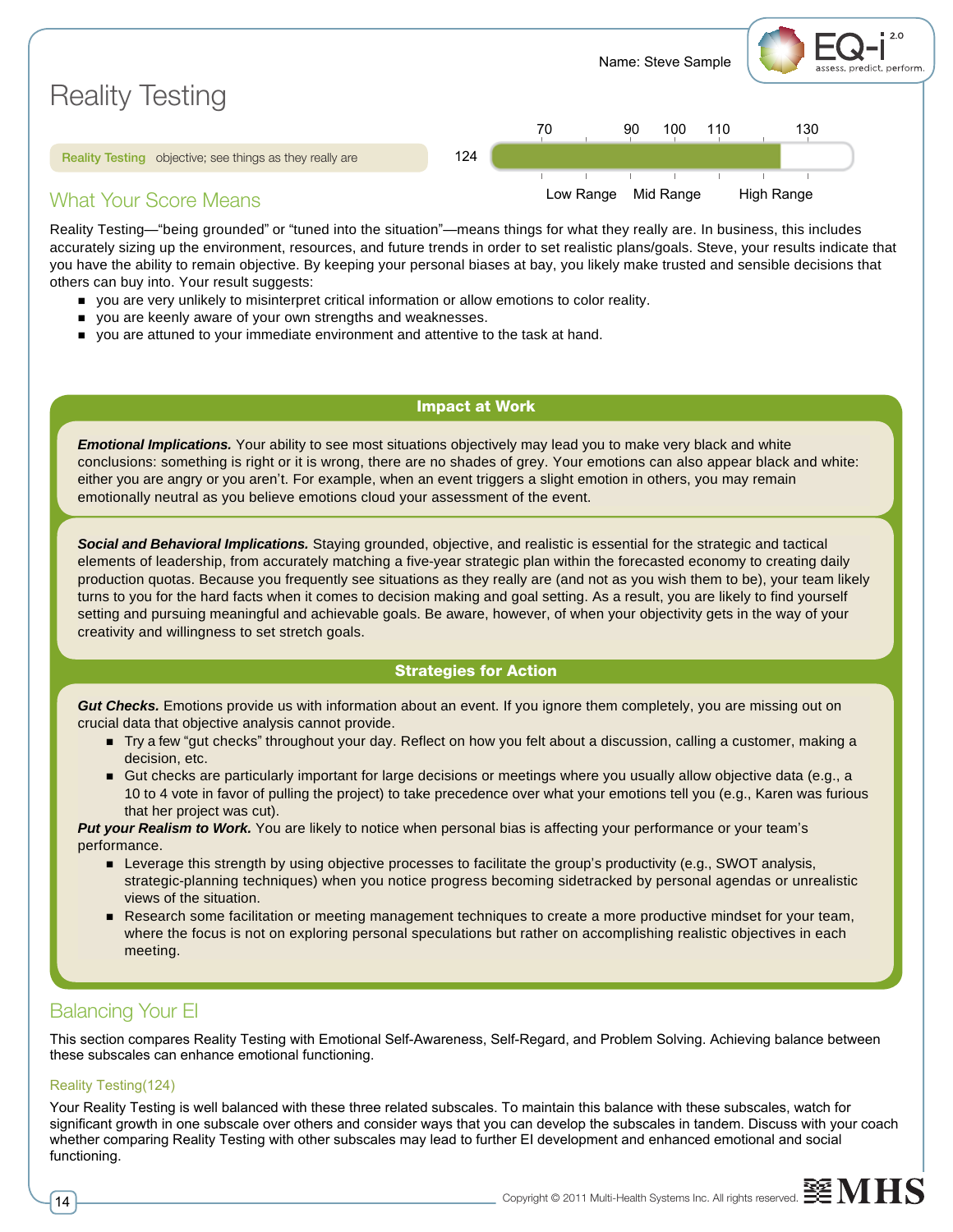

Reality Testing—"being grounded" or "tuned into the situation"—means things for what they really are. In business, this includes accurately sizing up the environment, resources, and future trends in order to set realistic plans/goals. Steve, your results indicate that you have the ability to remain objective. By keeping your personal biases at bay, you likely make trusted and sensible decisions that others can buy into. Your result suggests:

- n you are very unlikely to misinterpret critical information or allow emotions to color reality.
- n you are keenly aware of your own strengths and weaknesses.
- n you are attuned to your immediate environment and attentive to the task at hand.

#### Impact at Work

*Emotional Implications.* Your ability to see most situations objectively may lead you to make very black and white conclusions: something is right or it is wrong, there are no shades of grey. Your emotions can also appear black and white: either you are angry or you aren't. For example, when an event triggers a slight emotion in others, you may remain emotionally neutral as you believe emotions cloud your assessment of the event.

*Social and Behavioral Implications.* Staying grounded, objective, and realistic is essential for the strategic and tactical elements of leadership, from accurately matching a five-year strategic plan within the forecasted economy to creating daily production quotas. Because you frequently see situations as they really are (and not as you wish them to be), your team likely turns to you for the hard facts when it comes to decision making and goal setting. As a result, you are likely to find yourself setting and pursuing meaningful and achievable goals. Be aware, however, of when your objectivity gets in the way of your creativity and willingness to set stretch goals.

#### Strategies for Action

*Gut Checks.* Emotions provide us with information about an event. If you ignore them completely, you are missing out on crucial data that objective analysis cannot provide.

- Try a few "gut checks" throughout your day. Reflect on how you felt about a discussion, calling a customer, making a decision, etc.
- n Gut checks are particularly important for large decisions or meetings where you usually allow objective data (e.g., a 10 to 4 vote in favor of pulling the project) to take precedence over what your emotions tell you (e.g., Karen was furious that her project was cut).

**Put your Realism to Work.** You are likely to notice when personal bias is affecting your performance or your team's performance.

- **EXECTED LEVER FOR STRENGT BY USING OBJECT LEVERTHE EXECTED EXECTED EXECTED EXECTED EXECTED EXECTED EXECTED EXECTED EXECTED EXECTED EXECTED EXECTED EXECTED EXECTED EXECTED EXECTED EXECTE** strategic-planning techniques) when you notice progress becoming sidetracked by personal agendas or unrealistic views of the situation.
- Research some facilitation or meeting management techniques to create a more productive mindset for your team, where the focus is not on exploring personal speculations but rather on accomplishing realistic objectives in each meeting.

### Balancing Your EI

This section compares Reality Testing with Emotional Self-Awareness, Self-Regard, and Problem Solving. Achieving balance between these subscales can enhance emotional functioning.

#### Reality Testing(124)

Your Reality Testing is well balanced with these three related subscales. To maintain this balance with these subscales, watch for significant growth in one subscale over others and consider ways that you can develop the subscales in tandem. Discuss with your coach whether comparing Reality Testing with other subscales may lead to further EI development and enhanced emotional and social functioning.

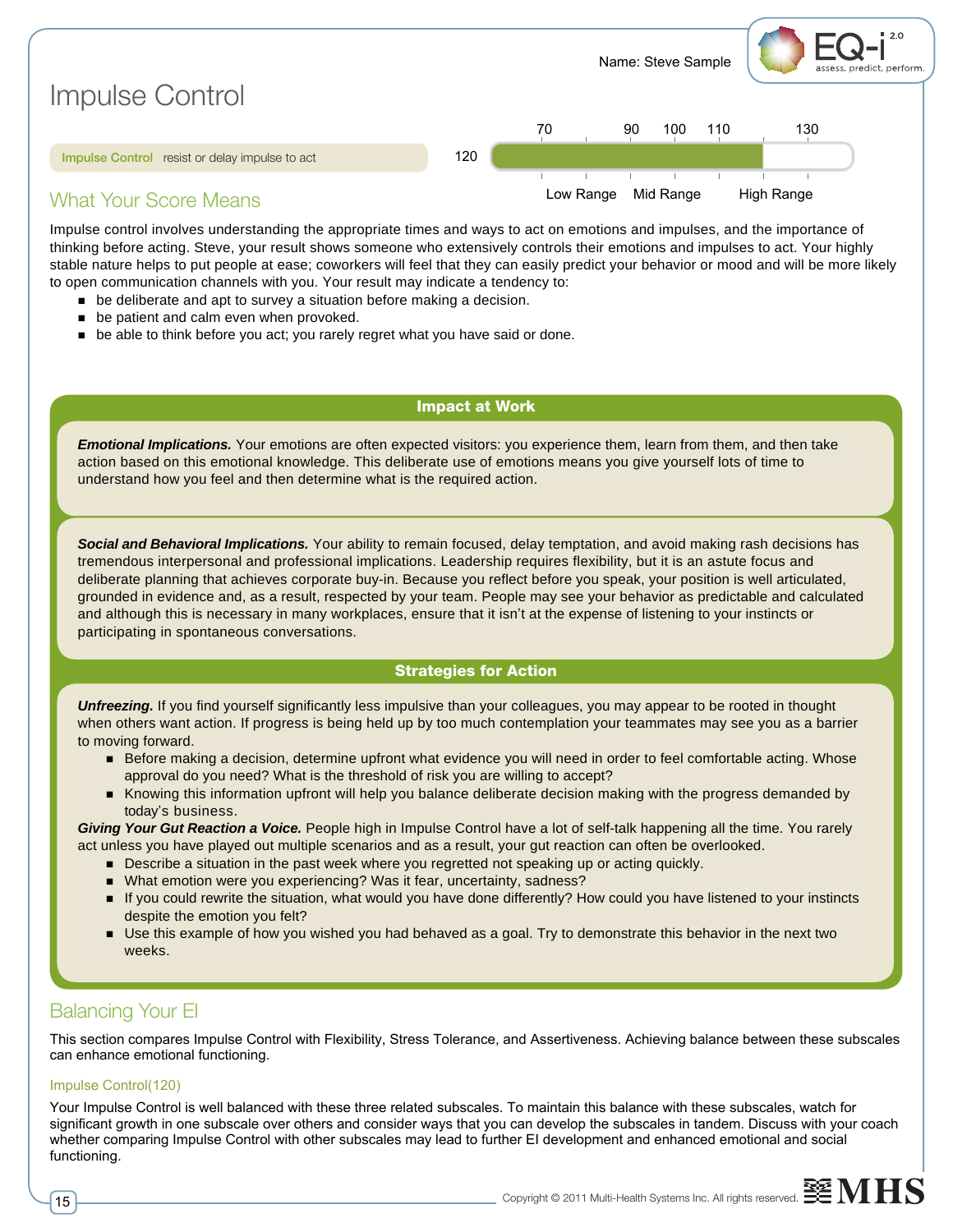

Impulse control involves understanding the appropriate times and ways to act on emotions and impulses, and the importance of thinking before acting. Steve, your result shows someone who extensively controls their emotions and impulses to act. Your highly stable nature helps to put people at ease; coworkers will feel that they can easily predict your behavior or mood and will be more likely to open communication channels with you. Your result may indicate a tendency to:

- n be deliberate and apt to survey a situation before making a decision.
- $\blacksquare$  be patient and calm even when provoked.
- n be able to think before you act; you rarely regret what you have said or done.

#### Impact at Work

*Emotional Implications.* Your emotions are often expected visitors: you experience them, learn from them, and then take action based on this emotional knowledge. This deliberate use of emotions means you give yourself lots of time to understand how you feel and then determine what is the required action.

*Social and Behavioral Implications.* Your ability to remain focused, delay temptation, and avoid making rash decisions has tremendous interpersonal and professional implications. Leadership requires flexibility, but it is an astute focus and deliberate planning that achieves corporate buy-in. Because you reflect before you speak, your position is well articulated, grounded in evidence and, as a result, respected by your team. People may see your behavior as predictable and calculated and although this is necessary in many workplaces, ensure that it isn't at the expense of listening to your instincts or participating in spontaneous conversations.

#### Strategies for Action

*Unfreezing.* If you find yourself significantly less impulsive than your colleagues, you may appear to be rooted in thought when others want action. If progress is being held up by too much contemplation your teammates may see you as a barrier to moving forward.

- n Before making a decision, determine upfront what evidence you will need in order to feel comfortable acting. Whose approval do you need? What is the threshold of risk you are willing to accept?
- n Knowing this information upfront will help you balance deliberate decision making with the progress demanded by today's business.

*Giving Your Gut Reaction a Voice.* People high in Impulse Control have a lot of self-talk happening all the time. You rarely act unless you have played out multiple scenarios and as a result, your gut reaction can often be overlooked.

- Describe a situation in the past week where you regretted not speaking up or acting quickly.
- What emotion were you experiencing? Was it fear, uncertainty, sadness?
- n If you could rewrite the situation, what would you have done differently? How could you have listened to your instincts despite the emotion you felt?
- n Use this example of how you wished you had behaved as a goal. Try to demonstrate this behavior in the next two weeks.

#### Balancing Your EI

This section compares Impulse Control with Flexibility, Stress Tolerance, and Assertiveness. Achieving balance between these subscales can enhance emotional functioning.

#### Impulse Control(120)

Your Impulse Control is well balanced with these three related subscales. To maintain this balance with these subscales, watch for significant growth in one subscale over others and consider ways that you can develop the subscales in tandem. Discuss with your coach whether comparing Impulse Control with other subscales may lead to further EI development and enhanced emotional and social functioning.

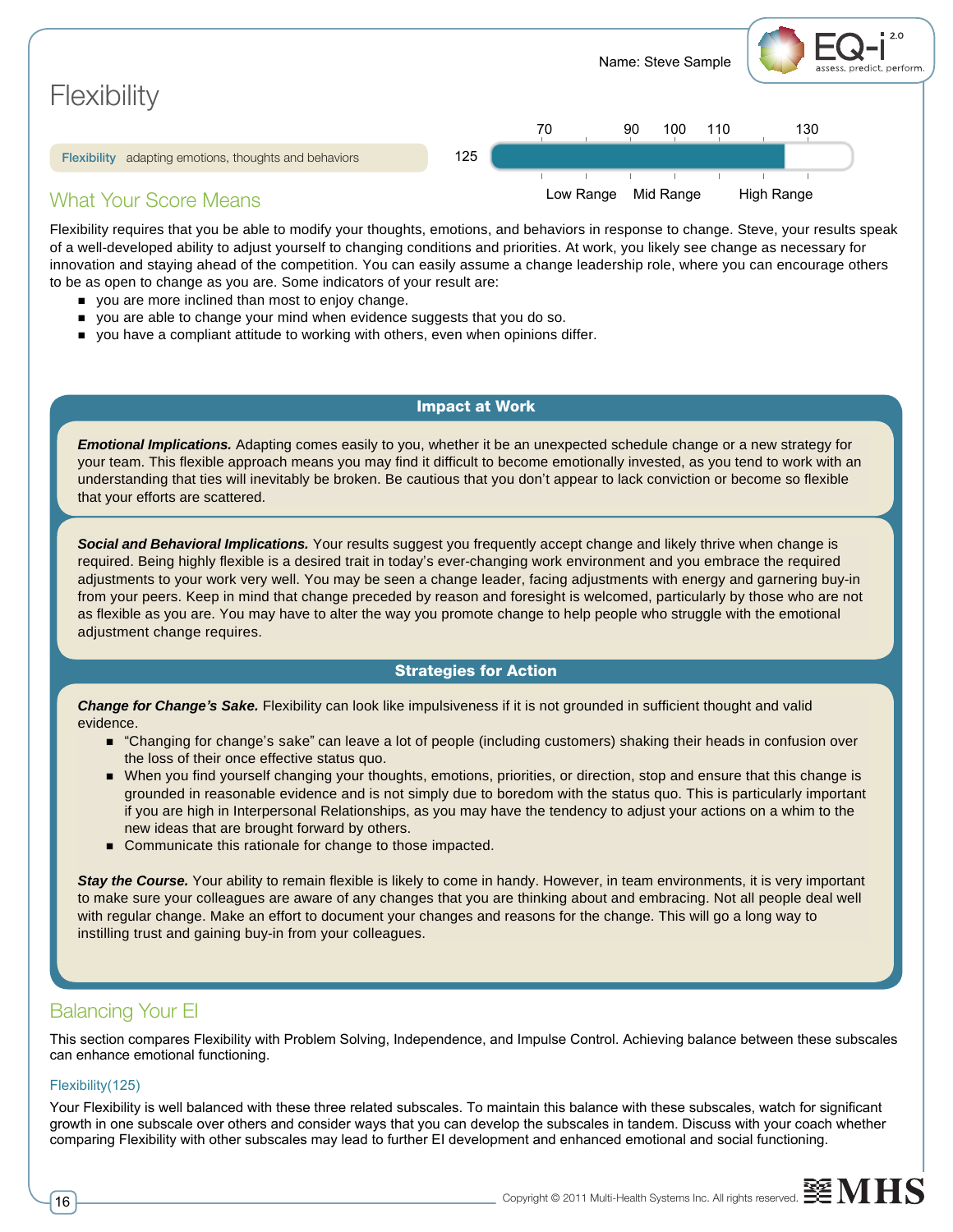

#### Flexibility requires that you be able to modify your thoughts, emotions, and behaviors in response to change. Steve, your results speak of a well-developed ability to adjust yourself to changing conditions and priorities. At work, you likely see change as necessary for innovation and staying ahead of the competition. You can easily assume a change leadership role, where you can encourage others to be as open to change as you are. Some indicators of your result are:

- $\blacksquare$  you are more inclined than most to enjoy change.
- n you are able to change your mind when evidence suggests that you do so.
- n you have a compliant attitude to working with others, even when opinions differ.

#### Impact at Work

*Emotional Implications.* Adapting comes easily to you, whether it be an unexpected schedule change or a new strategy for your team. This flexible approach means you may find it difficult to become emotionally invested, as you tend to work with an understanding that ties will inevitably be broken. Be cautious that you don't appear to lack conviction or become so flexible that your efforts are scattered.

*Social and Behavioral Implications.* Your results suggest you frequently accept change and likely thrive when change is required. Being highly flexible is a desired trait in today's ever-changing work environment and you embrace the required adjustments to your work very well. You may be seen a change leader, facing adjustments with energy and garnering buy-in from your peers. Keep in mind that change preceded by reason and foresight is welcomed, particularly by those who are not as flexible as you are. You may have to alter the way you promote change to help people who struggle with the emotional adjustment change requires.

#### Strategies for Action

*Change for Change's Sake.* Flexibility can look like impulsiveness if it is not grounded in sufficient thought and valid evidence.

- n "Changing for change's sake" can leave a lot of people (including customers) shaking their heads in confusion over the loss of their once effective status quo.
- n When you find yourself changing your thoughts, emotions, priorities, or direction, stop and ensure that this change is grounded in reasonable evidence and is not simply due to boredom with the status quo. This is particularly important if you are high in Interpersonal Relationships, as you may have the tendency to adjust your actions on a whim to the new ideas that are brought forward by others.
- Communicate this rationale for change to those impacted.

**Stay the Course.** Your ability to remain flexible is likely to come in handy. However, in team environments, it is very important to make sure your colleagues are aware of any changes that you are thinking about and embracing. Not all people deal well with regular change. Make an effort to document your changes and reasons for the change. This will go a long way to instilling trust and gaining buy-in from your colleagues.

#### Balancing Your EI

This section compares Flexibility with Problem Solving, Independence, and Impulse Control. Achieving balance between these subscales can enhance emotional functioning.

#### Flexibility(125)

Your Flexibility is well balanced with these three related subscales. To maintain this balance with these subscales, watch for significant growth in one subscale over others and consider ways that you can develop the subscales in tandem. Discuss with your coach whether comparing Flexibility with other subscales may lead to further EI development and enhanced emotional and social functioning.

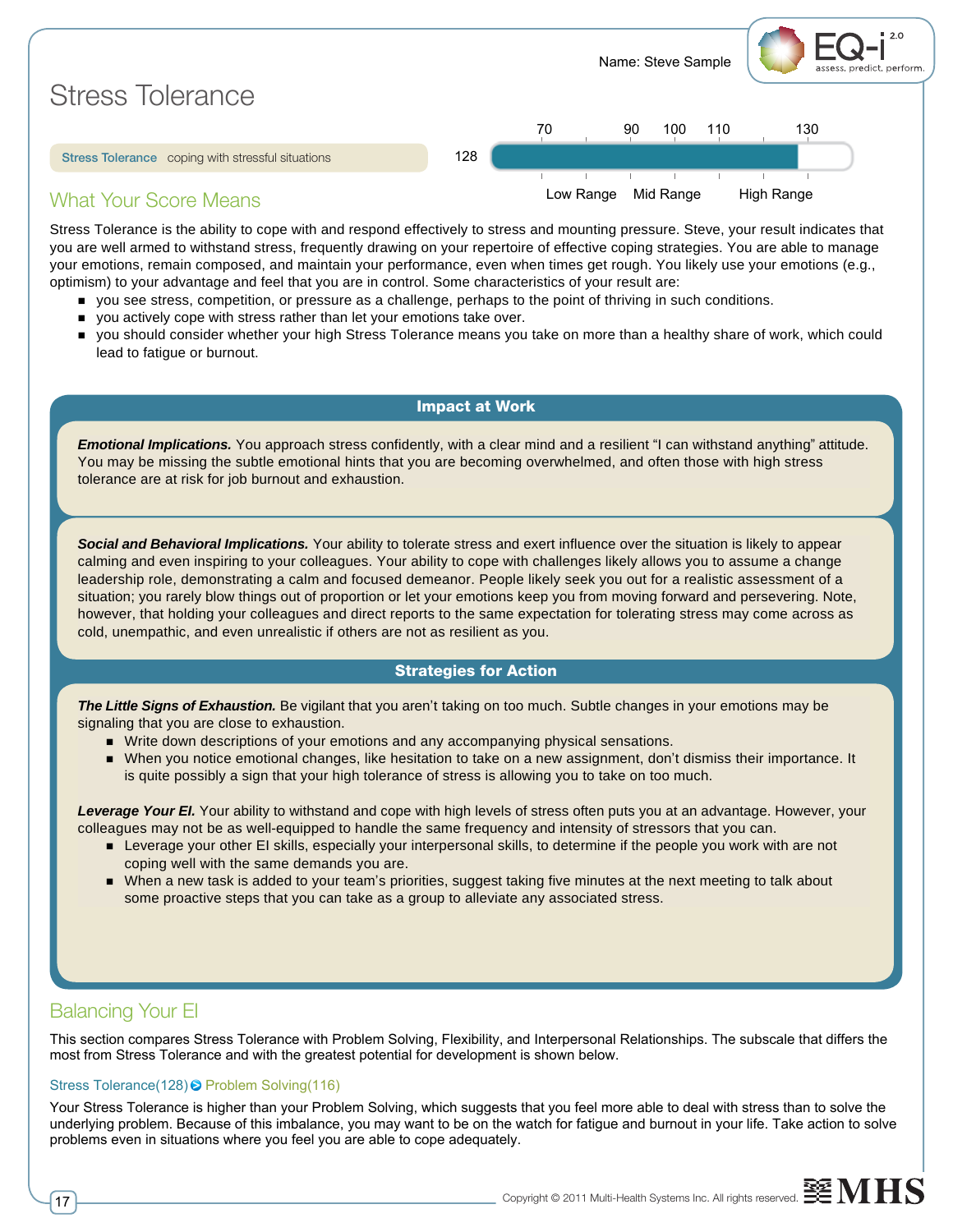| <b>Stress Tolerance</b>                           |     | Name: Steve Sample<br>assess. predict. perform. |
|---------------------------------------------------|-----|-------------------------------------------------|
|                                                   |     | 130<br>70<br>90<br>100<br>110                   |
| Stress Tolerance coping with stressful situations | 128 |                                                 |
| What Your Score Means                             |     | Mid Range<br>High Range<br>Low Range            |

#### What Your Score Means

Stress Tolerance is the ability to cope with and respond effectively to stress and mounting pressure. Steve, your result indicates that you are well armed to withstand stress, frequently drawing on your repertoire of effective coping strategies. You are able to manage your emotions, remain composed, and maintain your performance, even when times get rough. You likely use your emotions (e.g., optimism) to your advantage and feel that you are in control. Some characteristics of your result are:

- n you see stress, competition, or pressure as a challenge, perhaps to the point of thriving in such conditions.
- n you actively cope with stress rather than let your emotions take over.
- n you should consider whether your high Stress Tolerance means you take on more than a healthy share of work, which could lead to fatigue or burnout.

#### Impact at Work

*Emotional Implications.* You approach stress confidently, with a clear mind and a resilient "I can withstand anything" attitude. You may be missing the subtle emotional hints that you are becoming overwhelmed, and often those with high stress tolerance are at risk for job burnout and exhaustion.

*Social and Behavioral Implications.* Your ability to tolerate stress and exert influence over the situation is likely to appear calming and even inspiring to your colleagues. Your ability to cope with challenges likely allows you to assume a change leadership role, demonstrating a calm and focused demeanor. People likely seek you out for a realistic assessment of a situation; you rarely blow things out of proportion or let your emotions keep you from moving forward and persevering. Note, however, that holding your colleagues and direct reports to the same expectation for tolerating stress may come across as cold, unempathic, and even unrealistic if others are not as resilient as you.

#### Strategies for Action

*The Little Signs of Exhaustion.* Be vigilant that you aren't taking on too much. Subtle changes in your emotions may be signaling that you are close to exhaustion.

- Write down descriptions of your emotions and any accompanying physical sensations.
- n When you notice emotional changes, like hesitation to take on a new assignment, don't dismiss their importance. It is quite possibly a sign that your high tolerance of stress is allowing you to take on too much.

Leverage Your EI. Your ability to withstand and cope with high levels of stress often puts you at an advantage. However, your colleagues may not be as well-equipped to handle the same frequency and intensity of stressors that you can.

- **EXECTED LEVER ASSET UP:** Leverage your other EI skills, especially your interpersonal skills, to determine if the people you work with are not coping well with the same demands you are.
- n When a new task is added to your team's priorities, suggest taking five minutes at the next meeting to talk about some proactive steps that you can take as a group to alleviate any associated stress.

### Balancing Your EI

This section compares Stress Tolerance with Problem Solving, Flexibility, and Interpersonal Relationships. The subscale that differs the most from Stress Tolerance and with the greatest potential for development is shown below.

#### Stress Tolerance(128) <sup>●</sup> Problem Solving(116)

Your Stress Tolerance is higher than your Problem Solving, which suggests that you feel more able to deal with stress than to solve the underlying problem. Because of this imbalance, you may want to be on the watch for fatigue and burnout in your life. Take action to solve problems even in situations where you feel you are able to cope adequately.

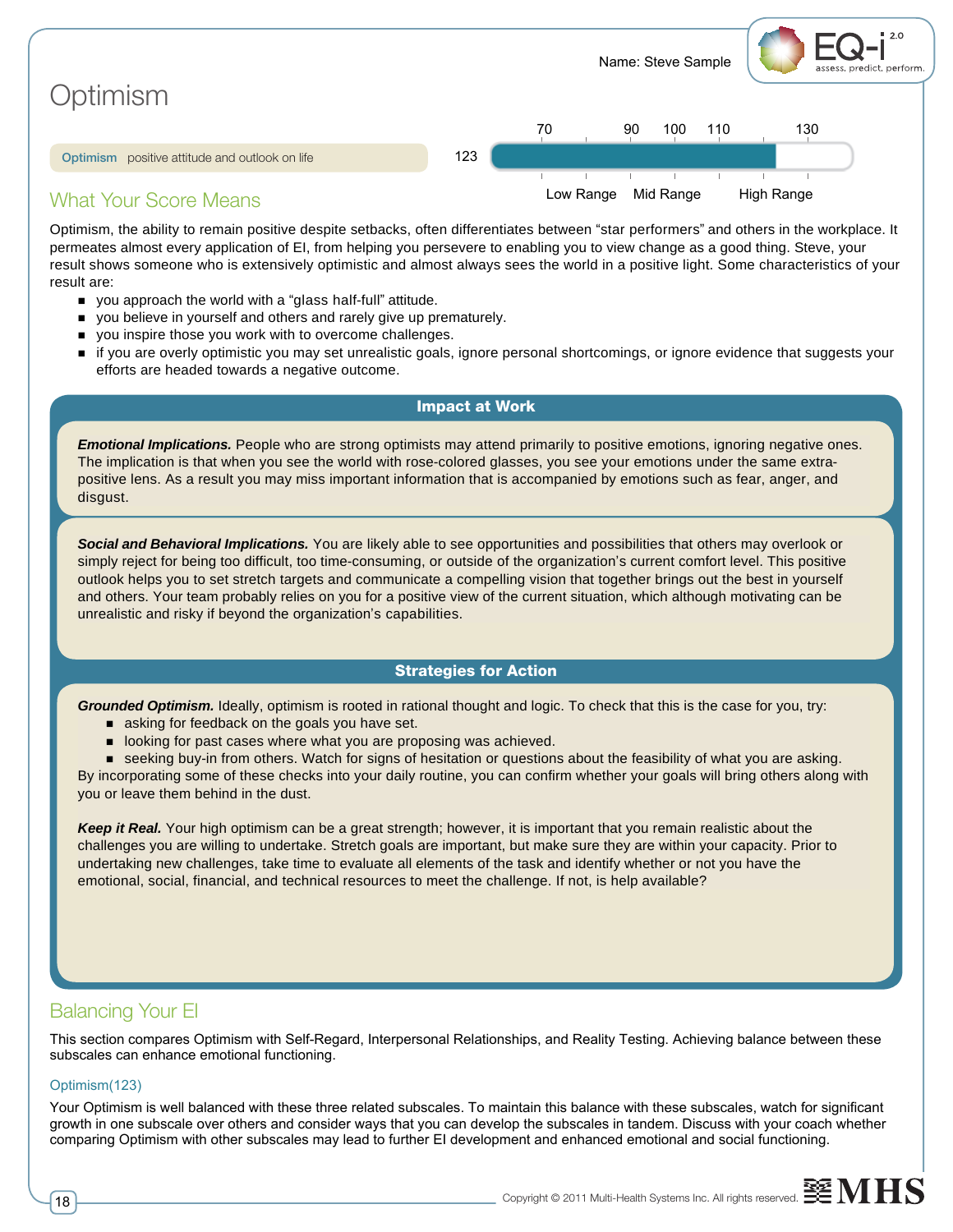

Optimism, the ability to remain positive despite setbacks, often differentiates between "star performers" and others in the workplace. It permeates almost every application of EI, from helping you persevere to enabling you to view change as a good thing. Steve, your result shows someone who is extensively optimistic and almost always sees the world in a positive light. Some characteristics of your result are:

- n you approach the world with a "glass half-full" attitude.
- n you believe in yourself and others and rarely give up prematurely.
- n you inspire those you work with to overcome challenges.
- n if you are overly optimistic you may set unrealistic goals, ignore personal shortcomings, or ignore evidence that suggests your efforts are headed towards a negative outcome.

#### Impact at Work

*Emotional Implications.* People who are strong optimists may attend primarily to positive emotions, ignoring negative ones. The implication is that when you see the world with rose-colored glasses, you see your emotions under the same extrapositive lens. As a result you may miss important information that is accompanied by emotions such as fear, anger, and disgust.

*Social and Behavioral Implications.* You are likely able to see opportunities and possibilities that others may overlook or simply reject for being too difficult, too time-consuming, or outside of the organization's current comfort level. This positive outlook helps you to set stretch targets and communicate a compelling vision that together brings out the best in yourself and others. Your team probably relies on you for a positive view of the current situation, which although motivating can be unrealistic and risky if beyond the organization's capabilities.

#### Strategies for Action

*Grounded Optimism.* Ideally, optimism is rooted in rational thought and logic. To check that this is the case for you, try:

- $\blacksquare$  asking for feedback on the goals you have set.
- **n** looking for past cases where what you are proposing was achieved.
- n seeking buy-in from others. Watch for signs of hesitation or questions about the feasibility of what you are asking.

By incorporating some of these checks into your daily routine, you can confirm whether your goals will bring others along with you or leave them behind in the dust.

*Keep it Real.* Your high optimism can be a great strength; however, it is important that you remain realistic about the challenges you are willing to undertake. Stretch goals are important, but make sure they are within your capacity. Prior to undertaking new challenges, take time to evaluate all elements of the task and identify whether or not you have the emotional, social, financial, and technical resources to meet the challenge. If not, is help available?

#### Balancing Your EI

This section compares Optimism with Self-Regard, Interpersonal Relationships, and Reality Testing. Achieving balance between these subscales can enhance emotional functioning.

#### Optimism(123)

Your Optimism is well balanced with these three related subscales. To maintain this balance with these subscales, watch for significant growth in one subscale over others and consider ways that you can develop the subscales in tandem. Discuss with your coach whether comparing Optimism with other subscales may lead to further EI development and enhanced emotional and social functioning.

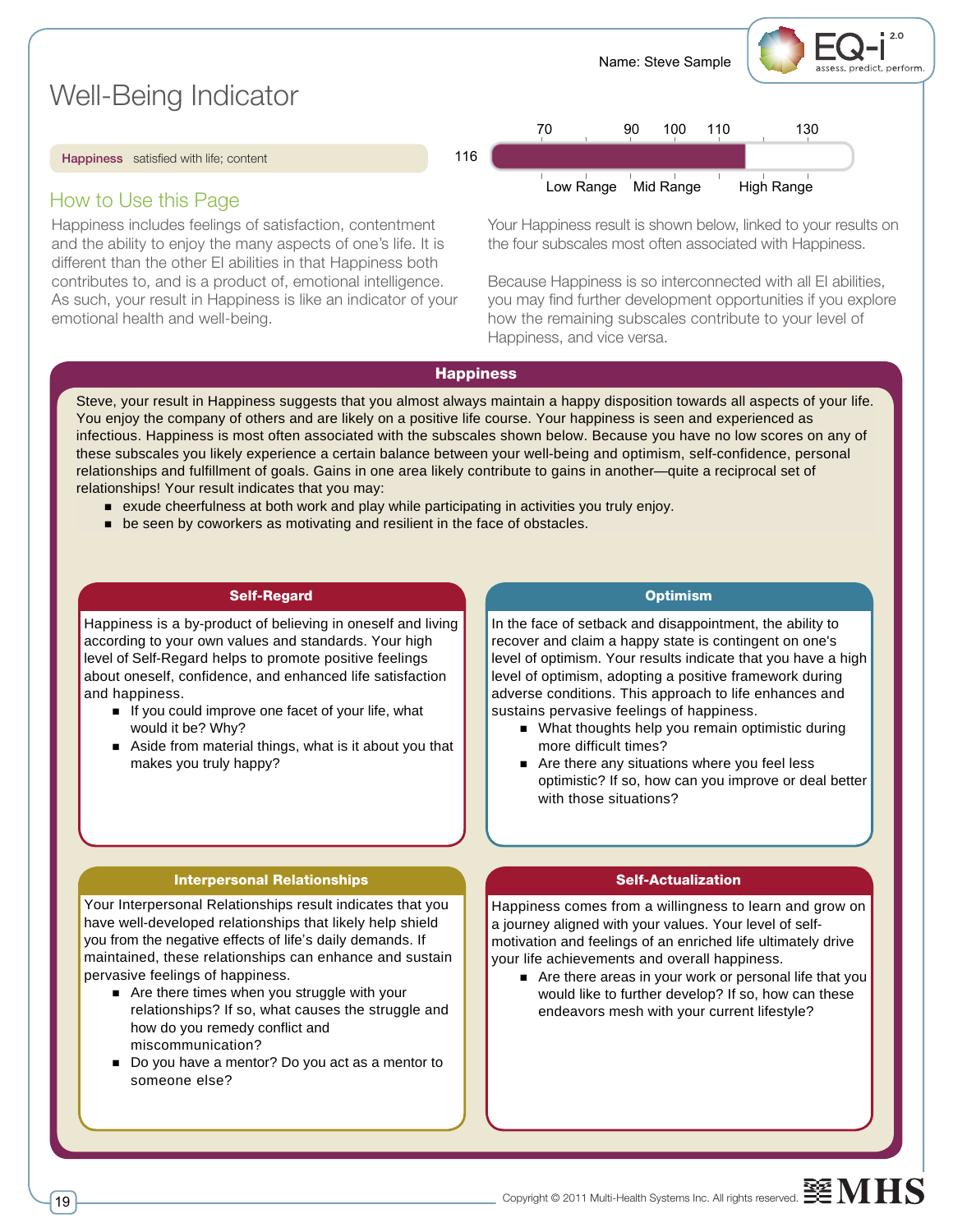

#### How to Use this Page

Happiness includes feelings of satisfaction, contentment and the ability to enjoy the many aspects of one's life. It is different than the other EI abilities in that Happiness both contributes to, and is a product of, emotional intelligence. As such, your result in Happiness is like an indicator of your emotional health and well-being.



Low Range Mid Range High Range

Because Happiness is so interconnected with all EI abilities, you may find further development opportunities if you explore how the remaining subscales contribute to your level of Happiness, and vice versa.

#### **Happiness**

Steve, your result in Happiness suggests that you almost always maintain a happy disposition towards all aspects of your life. You enjoy the company of others and are likely on a positive life course. Your happiness is seen and experienced as infectious. Happiness is most often associated with the subscales shown below. Because you have no low scores on any of these subscales you likely experience a certain balance between your well-being and optimism, self-confidence, personal relationships and fulfillment of goals. Gains in one area likely contribute to gains in another—quite a reciprocal set of relationships! Your result indicates that you may:

- n exude cheerfulness at both work and play while participating in activities you truly enjoy.
- **n** be seen by coworkers as motivating and resilient in the face of obstacles.

#### Self-Regard **Contact Contact Contact Contact Contact Contact Contact Contact Contact Contact Contact Contact Contact Contact Contact Contact Contact Contact Contact Contact Contact Contact Contact Contact Contact Contact C**

Happiness is a by-product of believing in oneself and living according to your own values and standards. Your high level of Self-Regard helps to promote positive feelings about oneself, confidence, and enhanced life satisfaction and happiness.

- n If you could improve one facet of your life, what would it be? Why?
- Aside from material things, what is it about you that makes you truly happy?

#### **Interpersonal Relationships Network Self-Actualization**

Your Interpersonal Relationships result indicates that you have well-developed relationships that likely help shield you from the negative effects of life's daily demands. If maintained, these relationships can enhance and sustain pervasive feelings of happiness.

- Are there times when you struggle with your relationships? If so, what causes the struggle and how do you remedy conflict and miscommunication?
- Do you have a mentor? Do you act as a mentor to someone else?

In the face of setback and disappointment, the ability to recover and claim a happy state is contingent on one's level of optimism. Your results indicate that you have a high level of optimism, adopting a positive framework during adverse conditions. This approach to life enhances and sustains pervasive feelings of happiness.

- What thoughts help you remain optimistic during more difficult times?
- Are there any situations where you feel less optimistic? If so, how can you improve or deal better with those situations?

Happiness comes from a willingness to learn and grow on a journey aligned with your values. Your level of selfmotivation and feelings of an enriched life ultimately drive your life achievements and overall happiness.

n Are there areas in your work or personal life that you would like to further develop? If so, how can these endeavors mesh with your current lifestyle?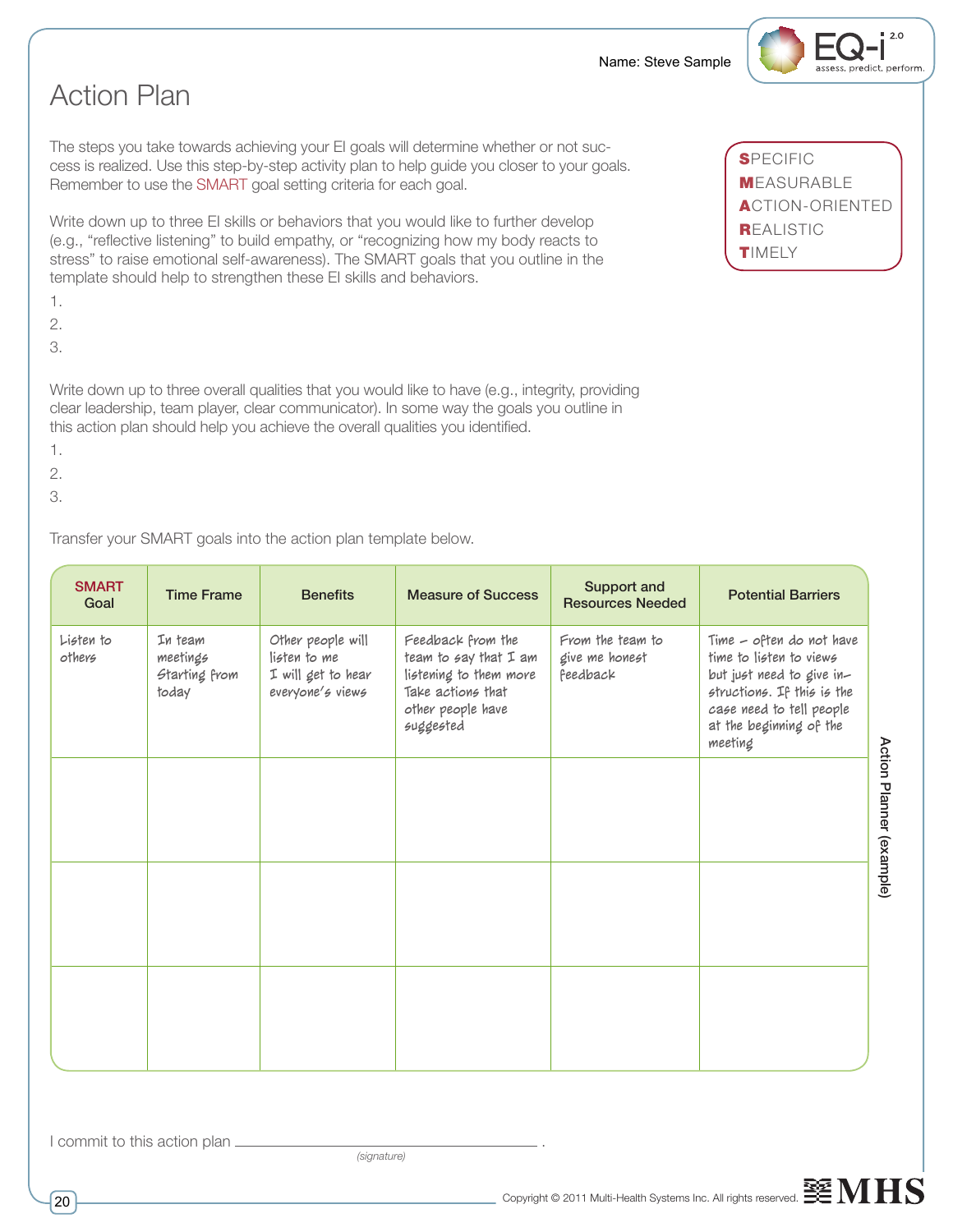20

#### cess is realized. Use this step-by-step activity plan to help guide you closer to your goals. Remember to use the SMART goal setting criteria for each goal.

Action Plan

Write down up to three EI skills or behaviors that you would like to further develop (e.g., "reflective listening" to build empathy, or "recognizing how my body reacts to stress" to raise emotional self-awareness). The SMART goals that you outline in the template should help to strengthen these EI skills and behaviors.

The steps you take towards achieving your EI goals will determine whether or not suc-

- 1.
- 2.
- 3.

Write down up to three overall qualities that you would like to have (e.g., integrity, providing clear leadership, team player, clear communicator). In some way the goals you outline in this action plan should help you achieve the overall qualities you identified.

1.

2.

3.

Transfer your SMART goals into the action plan template below.

| <b>SMART</b><br>Goal | <b>Time Frame</b>                             | <b>Benefits</b>                                                             | <b>Measure of Success</b>                                                                                                     | Support and<br><b>Resources Needed</b>         | <b>Potential Barriers</b>                                                                                                                                                        |
|----------------------|-----------------------------------------------|-----------------------------------------------------------------------------|-------------------------------------------------------------------------------------------------------------------------------|------------------------------------------------|----------------------------------------------------------------------------------------------------------------------------------------------------------------------------------|
| Listen to<br>others  | In team<br>meetings<br>Starting from<br>today | Other people will<br>listen to me<br>I will get to hear<br>everyone's views | Feedback from the<br>team to say that $I$ am<br>listening to them more<br>Take actions that<br>other people have<br>suggested | From the team to<br>give me honest<br>feedback | Time - often do not have<br>time to listen to views<br>but just need to give in-<br>structions. If this is the<br>case need to tell people<br>at the beginning of the<br>meeting |
|                      |                                               |                                                                             |                                                                                                                               |                                                |                                                                                                                                                                                  |
|                      |                                               |                                                                             |                                                                                                                               |                                                |                                                                                                                                                                                  |
|                      |                                               |                                                                             |                                                                                                                               |                                                |                                                                                                                                                                                  |

**SPECIFIC MEASURABLE** Action-oriented **REALISTIC TIMELY** 





Action Planner (example)

Action Planner (example)